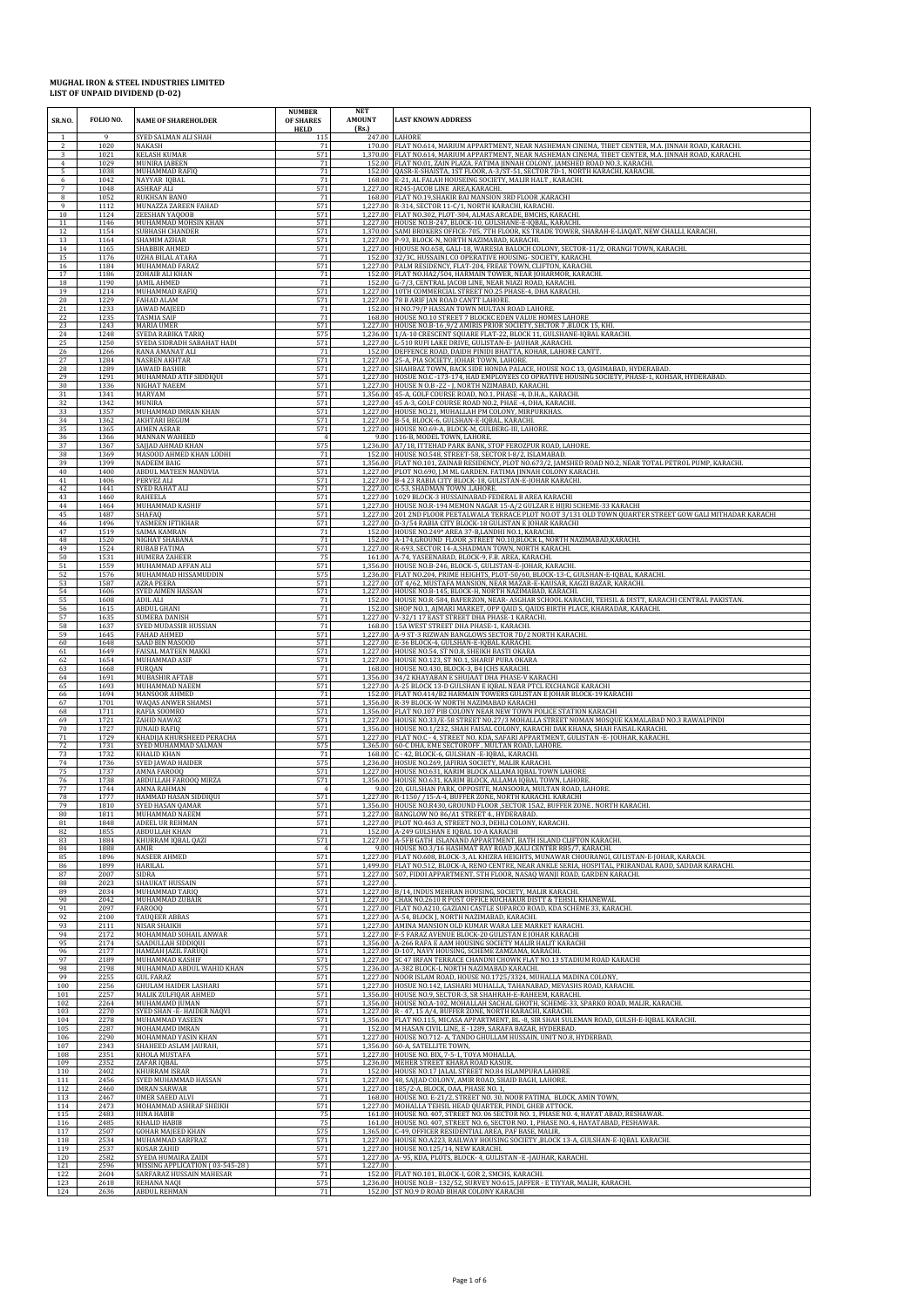| SR.NO.         | FOLIO NO.            | <b>NAME OF SHAREHOLDER</b>                                  | <b>NUMBER</b><br>OF SHARES<br><b>HELD</b> | <b>NET</b><br><b>AMOUNT</b><br>(Rs.) | <b>LAST KNOWN ADDRESS</b>                                                                                                                                                                                                                                       |
|----------------|----------------------|-------------------------------------------------------------|-------------------------------------------|--------------------------------------|-----------------------------------------------------------------------------------------------------------------------------------------------------------------------------------------------------------------------------------------------------------------|
| $\mathfrak{D}$ | 9<br>1020            | SYED SALMAN ALI SHAH<br><b>NAKASH</b>                       | 115<br>71                                 |                                      | 247.00 LAHORE<br>170.00 FLAT NO.614, MARIUM APPARTMENT, NEAR NASHEMAN CINEMA, TIBET CENTER, M.A. JINNAH ROAD, KARACHI                                                                                                                                           |
| 3              | 1021                 | <b>KELASH KUMAR</b>                                         | 571                                       |                                      | 1,370.00 FLAT NO.614, MARIUM APPARTMENT, NEAR NASHEMAN CINEMA, TIBET CENTER, M.A. JINNAH ROAD, KARACHI.                                                                                                                                                         |
| $\overline{4}$ | 1029                 | <b>MUNIRA JABEEN</b>                                        | $71\,$                                    |                                      | 152.00 FLAT NO.01, ZAIN PLAZA, FATIMA JINNAH COLONY, JAMSHED ROAD NO.3, KARACHI.                                                                                                                                                                                |
| 5              | 1038                 | MUHAMMAD RAFIQ                                              | 71                                        | 152.00                               | QASR-E-SHAISTA, 1ST FLOOR, A-3/ST-51, SECTOR 7D-1, NORTH KARACHI, KARACHI                                                                                                                                                                                       |
| 6              | 1042                 | NAYYAR IQBAL                                                | 71                                        | 168.00                               | E-21, AL FALAH HOUSEING SOCIETY, MALIR HALT, KARACHI.                                                                                                                                                                                                           |
| $\overline{7}$ | 1048                 | <b>ASHRAF ALI</b>                                           | 571                                       | 1.227.00                             | R245-JACOB LINE AREA, KARACHI.                                                                                                                                                                                                                                  |
| 8              | 1052                 | <b>RUKHSAN BANO</b>                                         | 71                                        |                                      | 168.00 FLAT NO.19, SHAKIR BAI MANSION 3RD FLOOR , KARACHI                                                                                                                                                                                                       |
| 9              | 1112                 | MUNAZZA ZAREEN FAHAD                                        | 571                                       | 1,227.00                             | R-314, SECTOR 11-C/1, NORTH KARACHI, KARACHI.                                                                                                                                                                                                                   |
| 10             | 1124                 | ZEESHAN YAQOOB                                              | 571                                       |                                      | 1,227.00 FLAT NO.302, PLOT-304, ALMAS ARCADE, BMCHS, KARACHI.                                                                                                                                                                                                   |
| 11             | 1146                 | MUHAMMAD MOHSIN KHAN                                        | 571                                       | 1,227.00                             | HOUSE NO.B-247, BLOCK-10, GULSHANE-E-IQBAL, KARACHI                                                                                                                                                                                                             |
| 12             | 1154                 | <b>SUBHASH CHANDER</b>                                      | 571                                       | 1,370.00                             | SAMI BROKERS OFFICE-705, 7TH FLOOR, KS TRADE TOWER, SHARAH-E-LIAQAT, NEW CHALLI, KARACHI.                                                                                                                                                                       |
| 13             | 1164                 | SHAMIM AZHAR                                                | 571                                       | 1,227.00                             | P-93, BLOCK-N, NORTH NAZIMABAD, KARACHI.                                                                                                                                                                                                                        |
| 14             | 1165                 | SHABBIR AHMED                                               | 571                                       | 1,227.00                             | HJOUSE NO.658, GALI-18, WARESIA BALOCH COLONY, SECTOR-11/2, ORANGI TOWN, KARACHI.                                                                                                                                                                               |
| 15             | 1176                 | <b>UZHA BILAL ATARA</b>                                     | 71                                        | 152.00                               | 32/3C, HUSSAINI, CO OPERATIVE HOUSING- SOCIETY, KARACHI.                                                                                                                                                                                                        |
| 16             | 1184                 | MUHAMMAD FARAZ                                              | 571                                       |                                      | 1,227.00 PALM RESIDENCY, FLAT-204, FREAE TOWN, CLIFTON, KARACHI.                                                                                                                                                                                                |
| 17             | 1186                 | ZOHAIB ALI KHAN                                             | 71                                        | 152.00                               | FLAT NO.HA2/504, HARMAIN TOWER, NEAR JOHARMOR, KARACHI.                                                                                                                                                                                                         |
| 18             | 1190                 | <b>JAMIL AHMED</b>                                          | 71                                        | 152.00                               | G-7/3, CENTRAL JACOB LINE, NEAR NIAZI ROAD, KARACHI.                                                                                                                                                                                                            |
| 19             | 1214                 | MUHAMMAD RAFIQ                                              | 571                                       | 1,227.00                             | 10TH COMMERCIAL STREET NO.25 PHASE-4, DHA KARACHI                                                                                                                                                                                                               |
| 20             | 1229                 | <b>FAHAD ALAM</b>                                           | 571                                       | 1,227.00                             | 78 B ARIF JAN ROAD CANTT LAHORE.                                                                                                                                                                                                                                |
| 21             | 1233                 | <b>JAWAD MAJEED</b>                                         | 71<br>71                                  | 168.00                               | 152.00 H NO.79/P HASSAN TOWN MULTAN ROAD LAHORE.                                                                                                                                                                                                                |
| 22<br>23       | 1235<br>1243         | <b>TASMIA SAIF</b><br><b>MARIA UMER</b>                     | 571                                       |                                      | HOUSE NO.10 STREET 7 BLOCKC EDEN VALUE HOMES LAHORE<br>1,227.00 HOUSE NO.B-16 ,9/2 AMIRIS PRIOR SOCIETY, SECTOR 7 ,BLOCK 15, KHI.                                                                                                                               |
| 24             | 1248                 | SYEDA RABIKA TARIQ                                          | 575                                       | 1,236.00                             | 1/A-10 CRESCENT SQUARE FLAT-22, BLOCK 11, GULSHANE-IQBAL KARACHI.                                                                                                                                                                                               |
| 25             | 1250                 | SYEDA SIDRADH SABAHAT HADI                                  | 571                                       | 1,227.00                             | L-510 RUFI LAKE DRIVE, GULISTAN-E- JAUHAR , KARACHI.                                                                                                                                                                                                            |
| 26             | 1266                 | RANA AMANAT ALI                                             | 71                                        | 152.00                               | DEFFENCE ROAD, DAIDH PINIDI BHATTA, KOHAR, LAHORE CANTT.                                                                                                                                                                                                        |
| 27             | 1284                 | <b>NASREN AKHTAR</b>                                        | 571                                       | 1,227.00                             | 25-A, PIA SOCIETY, JOHAR TOWN, LAHORE.                                                                                                                                                                                                                          |
| 28             | 1289                 | <b>JAWAID BASHIR</b>                                        | 571                                       | 1,227.00                             | SHAHBAZ TOWN, BACK SIDE HONDA PALACE, HOUSE NO.C 13, QASIMABAD, HYDERABAD.                                                                                                                                                                                      |
| 29             | 1291                 | MUHAMMAD ATIF SIDDIQUI                                      | 571                                       |                                      | 1,227.00 HOSUE NO.C - 173-174, HAD EMPLOYEES CO OPRATIVE HOUSING SOCIETY, PHASE-1, KOHSAR, HYDERABAD.                                                                                                                                                           |
| 30             | 1336                 | NIGHAT NAEEM                                                | 571                                       | 1,227.00                             | HOUSE N O.B -22 - J, NORTH NZIMABAD, KARACHI.                                                                                                                                                                                                                   |
| 31             | 1341                 | MARYAM                                                      | 571                                       | 1.356.00                             | 45-A, GOLF COURSE ROAD, NO.1, PHASE -4, D.H.A., KARACHI.                                                                                                                                                                                                        |
| 32             | 1342                 | <b>MUNIRA</b>                                               | 571                                       | 1.227.00                             | 45 A-3, GOLF COURSE ROAD NO.2, PHAE -4, DHA, KARACHI.                                                                                                                                                                                                           |
| 33             | 1357                 | MUHAMMAD IMRAN KHAN                                         | 571                                       | 1,227.00                             | HOUSE NO.21, MUHALLAH PM COLONY, MIRPURKHAS.                                                                                                                                                                                                                    |
| 34             | 1362                 | AKHTARI BEGUM                                               | 571                                       |                                      | 1,227.00 B-54, BLOCK-6, GULSHAN-E-IQBAL, KARACHI.                                                                                                                                                                                                               |
| 35             | 1365                 | AIMEN ASRAR                                                 | 571                                       |                                      | 1,227.00 HOUSE NO.69-A, BLOCK-M, GULBERG-III, LAHORE.                                                                                                                                                                                                           |
| 36             | 1366                 | <b>MANNAN WAHEED</b>                                        | $\overline{4}$                            | 9.00                                 | 116-B, MODEL TOWN, LAHORE.                                                                                                                                                                                                                                      |
| 37             | 1367                 | SAJJAD AHMAD KHAN                                           | 575                                       | 1,236.00                             | A7/18, ITTEHAD PARK BANK, STOP FEROZPUR ROAD, LAHORE.                                                                                                                                                                                                           |
| 38             | 1369                 | MASOOD AHMED KHAN LODHI                                     | 71                                        | 152.00                               | HOUSE NO.548, STREET-58, SECTOR I-8/2, ISLAMABAD.                                                                                                                                                                                                               |
| 39             | 1399                 | <b>NADEEM BAIG</b>                                          | 571                                       |                                      | 1,356.00 FLAT NO.101, ZAINAB RESIDENCY, PLOT NO.673/2, JAMSHED ROAD NO.2, NEAR TOTAL PETROL PUMP, KARACHI                                                                                                                                                       |
| 40             | 1400                 | ABDUL MATEEN MANDVIA                                        | 571                                       |                                      | 1,227.00 PLOT NO.690, J.M ML GARDEN. FATIMA JINNAH COLONY KARACHI.                                                                                                                                                                                              |
| 41             | 1406                 | PERVEZ ALI                                                  | 571                                       |                                      | 1,227.00 B-4 23 RABIA CITY BLOCK-18, GULISTAN-E-JOHAR KARACHI.                                                                                                                                                                                                  |
| 42             | 1441                 | SYED RAHAT ALI                                              | 571                                       | 1,227.00                             | 1,227.00 C-53, SHADMAN TOWN .LAHORE.                                                                                                                                                                                                                            |
| 43             | 1460                 | RAHEELA                                                     | 571                                       |                                      | 1029 BLOCK-3 HUSSAINABAD FEDERAL B AREA KARACHI                                                                                                                                                                                                                 |
| 44             | 1464                 | MUHAMMAD KASHIF                                             | 571                                       | 1.227.00                             | HOUSE NO.R-194 MEMON NAGAR 15-A/2 GULZAR E HIJRI SCHEME-33 KARACHI                                                                                                                                                                                              |
| 45             | 1487                 | SHAFAO                                                      | 571                                       |                                      | 1,227.00 201 2ND FLOOR PEETALWALA TERRACE PLOT NO.0T 3/131 OLD TOWN QUARTER STREET GOW GALI MITHADAR KARACHI                                                                                                                                                    |
| 46             | 1496                 | YASMEEN IFTIKHAR                                            | 571                                       | 1,227.00                             | D-3/54 RABIA CITY BLOCK-18 GULISTAN E JOHAR KARACHI                                                                                                                                                                                                             |
| 47             | 1519                 | SAIMA KAMRAN                                                | 71                                        |                                      | 152.00 HOUSE NO.249* AREA 37-B,LANDHI NO.1, KARACHI.                                                                                                                                                                                                            |
| 48             | 1520                 | NIGHAT SHABANA                                              | 71                                        | 1.227.00                             | 152.00 A-174, GROUND FLOOR STREET NO.10, BLOCK L, NORTH NAZIMABAD, KARACHI.                                                                                                                                                                                     |
| 49             | 1524                 | <b>RUBAB FATIMA</b>                                         | 571                                       |                                      | R-693, SECTOR 14-A, SHADMAN TOWN, NORTH KARACHI.                                                                                                                                                                                                                |
| 50             | 1531                 | <b>HUMERA ZAHEER</b>                                        | 75                                        | 161.00                               | A-74, YASEENABAD, BLOCK-9, F.B. AREA, KARACHI.                                                                                                                                                                                                                  |
| 51             | 1559                 | MUHAMMAD AFFAN ALI                                          | 571                                       |                                      | 1,356.00 HOUSE NO.B-246, BLOCK-5, GULISTAN-E-JOHAR, KARACHI.                                                                                                                                                                                                    |
| 52             | 1576                 | MUHAMMAD HISSAMUDDIN                                        | 575                                       |                                      | 1,236.00 FLAT NO.204, PRIME HEIGHTS, PLOT-50/60, BLOCK-13-C, GULSHAN-E-IQBAL, KARACHI.                                                                                                                                                                          |
| 53             | 1587                 | <b>AZRA PEERA</b>                                           | 571                                       |                                      | 1,227.00 OT 4/62, MUSTAFA MANSION, NEAR MAZAR-E-KAUSAR, KAGZI BAZAR, KARACHI.                                                                                                                                                                                   |
| 54             | 1606                 | SYED AIMEN HASSAN                                           | 571                                       | 152.00                               | 1,227.00 HOUSE NO.B-145, BLOCK-H, NORTH NAZIMABAD, KARACHI.                                                                                                                                                                                                     |
| 55             | 1608                 | ADIL ALI                                                    | 71                                        |                                      | HOUSE NO.R-584, BAFERZON, NEAR- ASGHAR SCHOOL KARACHI, TEHSIL & DISTT, KARACHI CENTRAL PAKISTAN.                                                                                                                                                                |
| 56             | 1615                 | ABDUL GHANI                                                 | 71                                        | 152.00                               | SHOP NO.1, AJMARI MARKET, OPP QAID S, QAIDS BIRTH PLACE, KHARADAR, KARACHI.                                                                                                                                                                                     |
| 57             | 1635                 | <b>SUMERA DANISH</b>                                        | 571                                       | 1.227.00                             | V-32/1 17 EAST STREET DHA PHASE-1 KARACHI.                                                                                                                                                                                                                      |
| 58             | 1637                 | SYED MUDASSIR HUSSIAN                                       | 71                                        | 168.00                               | 15A WEST STREET DHA PHASE-1, KARACHI.                                                                                                                                                                                                                           |
| 59             | 1645                 | <b>FAHAD AHMED</b>                                          | 571                                       |                                      | 1,227.00 A-9 ST-3 RIZWAN BANGLOWS SECTOR 7D/2 NORTH KARACHI.                                                                                                                                                                                                    |
| 60             | 1648                 | SAAD BIN MASOOD                                             | 571                                       |                                      | 1,227.00 E-36 BLOCK-4, GULSHAN-E-IQBAL KARACHI.                                                                                                                                                                                                                 |
| 61             | 1649                 | FAISAL MATEEN MAKKI                                         | 571                                       |                                      | 1,227.00 HOUSE NO.54, ST NO.8, SHEIKH BASTI OKARA                                                                                                                                                                                                               |
| 62             | 1654                 | MUHAMMAD ASIF                                               | 571                                       | 1,227.00                             | HOUSE NO.123, ST NO.1, SHARIF PURA OKARA                                                                                                                                                                                                                        |
| 63             | 1668                 | <b>FURQAN</b>                                               | 71                                        | 168.00                               | HOUSE NO.430, BLOCK-3, B4 JCHS KARACHI.                                                                                                                                                                                                                         |
| 64             | 1691                 | MUBASHIR AFTAB                                              | 571                                       |                                      | 1,356.00 34/2 KHAYABAN E SHUJAAT DHA PHASE-V KARACHI                                                                                                                                                                                                            |
| 65             | 1693                 | MUHAMMAD NAEEM                                              | 571                                       |                                      | 1,227.00 A-25 BLOCK 13-D GULSHAN E IQBAL NEAR PTCL EXCHANGE KARACHI                                                                                                                                                                                             |
| 66             | 1694                 | MANSOOR AHMED                                               | 71<br>571                                 |                                      | 152.00 FLAT NO.414/B2 HARMAIN TOWERS GULISTAN E JOHAR BLOCK-19 KARACHI<br>1,356.00 R-39 BLOCK-W NORTH NAZIMABAD KARACHI                                                                                                                                         |
| 67<br>68<br>69 | 1701<br>1711<br>1721 | WAQAS ANWER SHAMSI<br>RAFIA SOOMRO<br>ZAHID NAWAZ           | 571<br>571                                | 1,356.00<br>1,227.00                 | FLAT NO.107 PIB COLONY NEAR NEW TOWN POLICE STATION KARACHI                                                                                                                                                                                                     |
| 70<br>71       | 1727<br>1729         | <b>JUNAID RAFIQ</b><br>KHADIJA KHURSHEED PERACHA            | 571<br>571                                | 1,356.00                             | HOUSE NO.33/E-58 STREET NO.27/3 MOHALLA STREET NOMAN MOSQUE KAMALABAD NO.3 RAWALPINDI<br>HOUSE NO.1/232, SHAH FAISAL COLONY, KARACHI DAK KHANA, SHAH FAISAL KARACHI.<br>1,227.00 FLAT NO.C - 4, STREET NO. KDA, SAFARI APPARTMENT, GULISTAN -E-JOUHAR, KARACHI. |
| 72             | 1731                 | SYED MUHAMMAD SALMAN                                        | 575                                       |                                      | 1,365.00 60-C DHA, EME SECTOROFF, MULTAN ROAD, LAHORE.                                                                                                                                                                                                          |
| 73             | 1732                 | <b>KHALID KHAN</b>                                          | 71                                        | 1,236.00                             | 168.00 C - 42, BLOCK-6, GULSHAN -E-IQBAL, KARACHI.                                                                                                                                                                                                              |
| 74             | 1736                 | SYED JAWAD HAIDER                                           | 575                                       |                                      | HOSUE NO.269, JAFIRIA SOCIETY, MALIR KARACHI                                                                                                                                                                                                                    |
| 75             | 1737                 | AMNA FAROOQ                                                 | 571                                       | 1,227.00                             | HOUSE NO.631, KARIM BLOCK ALLAMA IQBAL TOWN LAHORE                                                                                                                                                                                                              |
| 76             | 1738                 | ABDULLAH FAROOQ MIRZA                                       | 571                                       | 1,356.00                             | HOUSE NO.631, KARIM BLOCK, ALLAMA IQBAL TOWN, LAHORE                                                                                                                                                                                                            |
| 77             | 1744                 | AMNA RAHMAN                                                 | $\overline{4}$                            |                                      | 9.00 20, GULSHAN PARK, OPPOSITE, MANSOORA, MULTAN ROAD, LAHORE                                                                                                                                                                                                  |
| 78             | 1777                 | HAMMAD HASAN SIDDIQUI                                       | 571                                       |                                      | 1,227.00 R-1150/ /15-A-4, BUFFER ZONE, NORTH KARACHI. KARACHI                                                                                                                                                                                                   |
| 79             | 1810                 | SYED HASAN QAMAR                                            | 571                                       |                                      | 1,356.00   HOUSE NO.R430, GROUND FLOOR ,SECTOR 15A2, BUFFER ZONE . NORTH KARACHI                                                                                                                                                                                |
| 80             | 1811                 | MUHAMMAD NAEEM                                              | 571                                       |                                      | 1,227.00 BANGLOW NO 86/A1 STREET 4., HYDERABAD.                                                                                                                                                                                                                 |
| 81             | 1848                 | ADEEL UR REHMAN                                             | 571                                       | 1,227.00                             | PLOT NO.463 A, STREET NO.3, DEHLI COLONY, KARACHI.                                                                                                                                                                                                              |
| 82             | 1855                 | ABDULLAH KHAN                                               | 71                                        | 152.00                               | A-249 GULSHAN E IQBAL 10-A KARACHI                                                                                                                                                                                                                              |
| 83             | 1884                 | KHURRAM IQBAL QAZI                                          | 571                                       |                                      | 1,227.00 A-5FB GATH ISLANAND APPARTMENT, BATH ISLAND CLIFTON KARACHI.                                                                                                                                                                                           |
| 84             | 1888                 | AMIR                                                        | $\overline{4}$                            |                                      | 9.00 HOUSE NO.3/16 HASHMAT RAY ROAD , KALI CENTER RB5/7, KARACHI,                                                                                                                                                                                               |
| 85             | 1896                 | <b>NASEER AHMED</b>                                         | 571                                       |                                      | 1,227.00 FLAT NO.608, BLOCK-3, AL KHIZRA HEIGHTS, MUNAWAR CHOURANGI, GULISTAN-E-JOHAR, KARACH.                                                                                                                                                                  |
| 86             | 1899                 | <b>HARILAL</b>                                              | 571                                       |                                      | 1,499.00 FLAT NO.512, BLOCK-A, RENO CENTRE, NEAR ANKLE SERIA, HOSPITAL, PRIRANDAL RAOD, SADDAR KARACHI.                                                                                                                                                         |
| 87             | 2007                 | SIDRA                                                       | 571                                       | 1,227.00                             | 507, FIDOI APPARTMENT, 5TH FLOOR, NASAQ WANJI ROAD, GARDEN KARACHI.                                                                                                                                                                                             |
| 88             | 2023                 | SHAUKAT HUSSAIN                                             | 571                                       | 1,227.00                             |                                                                                                                                                                                                                                                                 |
| 89             | 2034                 | MUHAMMAD TARIQ                                              | 571                                       |                                      | 1,227.00 B/14, INDUS MEHRAN HOUSING, SOCIETY, MALIR KARACHI.                                                                                                                                                                                                    |
| 90             | 2042                 | MUHAMMAD ZUBAIR                                             | 571                                       |                                      | 1.227.00 CHAK NO.2610 R POST OFFICE KUCHAKUR DISTT & TEHSIL KHANEWAL                                                                                                                                                                                            |
| 91             | 2097                 | FAROOQ                                                      | 571                                       |                                      | 1,227.00 FLAT NO.A210, GAZIANI CASTLE SUPARCO ROAD, KDA SCHEME 33, KARACHI.                                                                                                                                                                                     |
| 92             | 2100                 | <b>TAUQEER ABBAS</b>                                        | 571                                       |                                      | 1,227.00 A-54, BLOCK J, NORTH NAZIMABAD, KARACHI.                                                                                                                                                                                                               |
| 93             | 2111                 | NISAR SHAIKH                                                | 571                                       |                                      | 1,227.00 AMINA MANSION OLD KUMAR WARA LEE MARKET KARACHI.                                                                                                                                                                                                       |
| 94             | 2172                 | MOHAMMAD SOHAIL ANWAR                                       | 571                                       |                                      | 1,227.00 F-5 FARAZ AVENUE BLOCK-20 GULISTAN E JOHAR KARACHI                                                                                                                                                                                                     |
| 95             | 2174                 | SAADULLAH SIDDIQUI                                          | 571                                       |                                      | 1,356.00 A-266 RAFA E AAM HOUSING SOCIETY MALIR HALIT KARACHI                                                                                                                                                                                                   |
| 96             | 2177                 | HAMZAH JAZIL FARUQI                                         | 571                                       |                                      | 1,227.00 D-107, NAVY HOUSING, SCHEME ZAMZAMA, KARACHI.                                                                                                                                                                                                          |
| 97             | 2189                 | MUHAMMAD KASHIF                                             | 571                                       | 1,227.00                             | SC 47 IRFAN TERRACE CHANDNI CHOWK FLAT NO.13 STADIUM ROAD KARACHI                                                                                                                                                                                               |
| 98             | 2198                 | MUHAMMAD ABDUL WAHID KHAN                                   | 575                                       |                                      | 1,236.00 A-382 BLOCK-L NORTH NAZIMABAD KARACHI.                                                                                                                                                                                                                 |
| 99             | 2255                 | <b>GUL FARAZ</b>                                            | 571                                       | 1,227.00                             | 1,227.00 NOOR ISLAM ROAD, HOUSE NO.1725/3324, MUHALLA MADINA COLONY                                                                                                                                                                                             |
| 100            | 2256                 | <b>GHULAM HAIDER LASHARI</b>                                | 571                                       |                                      | HOSUE NO.142, LASHARI MUHALLA, TAHANABAD, MEVASHS ROAD, KARACHI.                                                                                                                                                                                                |
| 101            | 2257                 | MALIK ZULFIQAR AHMED                                        | 571                                       | 1,356.00                             | HOUSE NO.9, SECTOR-3, SR SHAHRAH-E-RAHEEM, KARACHI.                                                                                                                                                                                                             |
| 102            | 2264                 | MUHAMAMD JUMAN                                              | 571                                       |                                      | 1,356.00 HOUSE NO.A-102, MOHALLAH SACHAL GHOTH, SCHEME-33, SPARKO ROAD, MALIR, KARACHI.                                                                                                                                                                         |
| 103            | 2270                 | SYED SHAN - E- HAIDER NAQVI                                 | 571                                       |                                      | 1,227.00 R - 47, 15 A/4, BUFFER ZONE, NORTH KARACHI, KARACHI.                                                                                                                                                                                                   |
| 104            | 2278                 | MUHAMMAD YASEEN                                             | 571                                       |                                      | 1,356.00 FLAT NO.115, MICASA APPARTMENT, BL -8, SIR SHAH SULEMAN ROAD, GULSH-E-IQBAL KARACHI.                                                                                                                                                                   |
| 105            | 2287                 | MOHAMAMD IMRAN                                              | 71                                        | 1.227.00                             | 152.00 M HASAN CIVIL LINE, E -1289, SARAFA BAZAR, HYDERBAD.                                                                                                                                                                                                     |
| 106            | 2290                 | MOHAMMAD YASIN KHAN                                         | 571                                       |                                      | HOUSE NO.712- A, TANDO GHULLAM HUSSAIN, UNIT NO.8, HYDERBAD,                                                                                                                                                                                                    |
| 107            | 2343                 | SHAHEED ASLAM JAURAH,                                       | 571                                       | 1.356.00                             | 60-A, SATELLITE TOWN,                                                                                                                                                                                                                                           |
| 108            | 2351                 | KHOLA MUSTAFA                                               | 571                                       |                                      | 1,227.00 HOUSE NO. BIX, 7-5-1, TOYA MOHALLA,                                                                                                                                                                                                                    |
| 109            | 2352                 | ZAFAR IQBAL                                                 | 575                                       | 152.00                               | 1,236.00 MEHER STREET KHARA ROAD KASUR.                                                                                                                                                                                                                         |
| 110            | 2402                 | KHURRAM ISRAR                                               | 71                                        |                                      | HOUSE NO.17 JALAL STREET NO.84 ISLAMPURA LAHORE                                                                                                                                                                                                                 |
| 111            | 2456                 | SYED MUHAMMAD HASSAN                                        | 571                                       | 1,227.00                             | 1,227.00 48, SAJJAD COLONY, AMIR ROAD, SHAID BAGH, LAHORE.                                                                                                                                                                                                      |
| 112            | 2460                 | <b>IMRAN SARWAR</b>                                         | 571                                       |                                      | 185/2-A, BLOCK, OAA, PHASE NO. 1,                                                                                                                                                                                                                               |
| 113            | 2467                 | <b>UMER SAEED ALVI</b>                                      | $71\,$                                    | 168.00                               | HOUSE NO. E-21/2, STREET NO. 30, NOOR FATIMA, BLOCK, AMIN TOWN,                                                                                                                                                                                                 |
| 114            | 2473                 | MOHAMMAD ASHRAF SHEIKH                                      | 571                                       |                                      | 1,227.00 MOHALLA TEHSIL HEAD QUARTER, PINDI, GHEB ATTOCK.                                                                                                                                                                                                       |
| 115            | 2483                 | HINA HABIB                                                  | 75                                        |                                      | 161.00 HOUSE NO. 407, STREET NO. 06 SECTOR NO. 1, PHASE NO. 4, HAYAT ABAD, RESHAWAR.                                                                                                                                                                            |
| 116            | 2485                 | KHALID HABIB                                                | 75                                        |                                      | 161.00 HOUSE NO. 407, STREET NO. 6, SECTOR NO. 1, PHASE NO. 4, HAYATABAD, PESHAWAR.                                                                                                                                                                             |
| 117            | 2507                 | <b>GOHAR MAJEED KHAN</b>                                    | 575                                       | 1,227.00                             | 1,365.00 C-49, OFFICER RESIDENTIAL AREA, PAF BASE, MALIR,                                                                                                                                                                                                       |
| 118            | 2534                 | MUHAMMAD SARFRAZ                                            | 571                                       |                                      | HOUSE NO.A223, RAILWAY HOUSING SOCIETY , BLOCK 13-A, GULSHAN-E-IQBAL KARACHI.                                                                                                                                                                                   |
| 119            | 2537                 | KOSAR ZAHID                                                 | 571                                       | 1.227.00                             | HOUSE NO.125/14, NEW KARACHI.                                                                                                                                                                                                                                   |
| 120            | 2582                 | SYEDA HUMAIRA ZAIDI                                         | 571                                       |                                      | 1,227.00 A-95, KDA, PLOTS, BLOCK-4, GULISTAN -E -JAUHAR, KARACHI.                                                                                                                                                                                               |
| 121<br>122     | 2596<br>2604         | MISSING APPLICATION (03-545-28)<br>SARFARAZ HUSSAIN MAHESAR | 571<br>71                                 | 1,227.00                             | 152.00 FLAT NO.101, BLOCK-I, GOR 2, SMCHS, KARACHI.                                                                                                                                                                                                             |
| 123            | 2618                 | REHANA NAQI                                                 | 575                                       |                                      | 1,236.00 HOUSE NO.B - 132/52, SURVEY NO.615, JAFFER - E TIYYAR, MALIR, KARACHI.                                                                                                                                                                                 |
| 124            | 2636                 | <b>ABDUL REHMAN</b>                                         | 71                                        |                                      | 152.00 ST NO.9 D ROAD BIHAR COLONY KARACHI                                                                                                                                                                                                                      |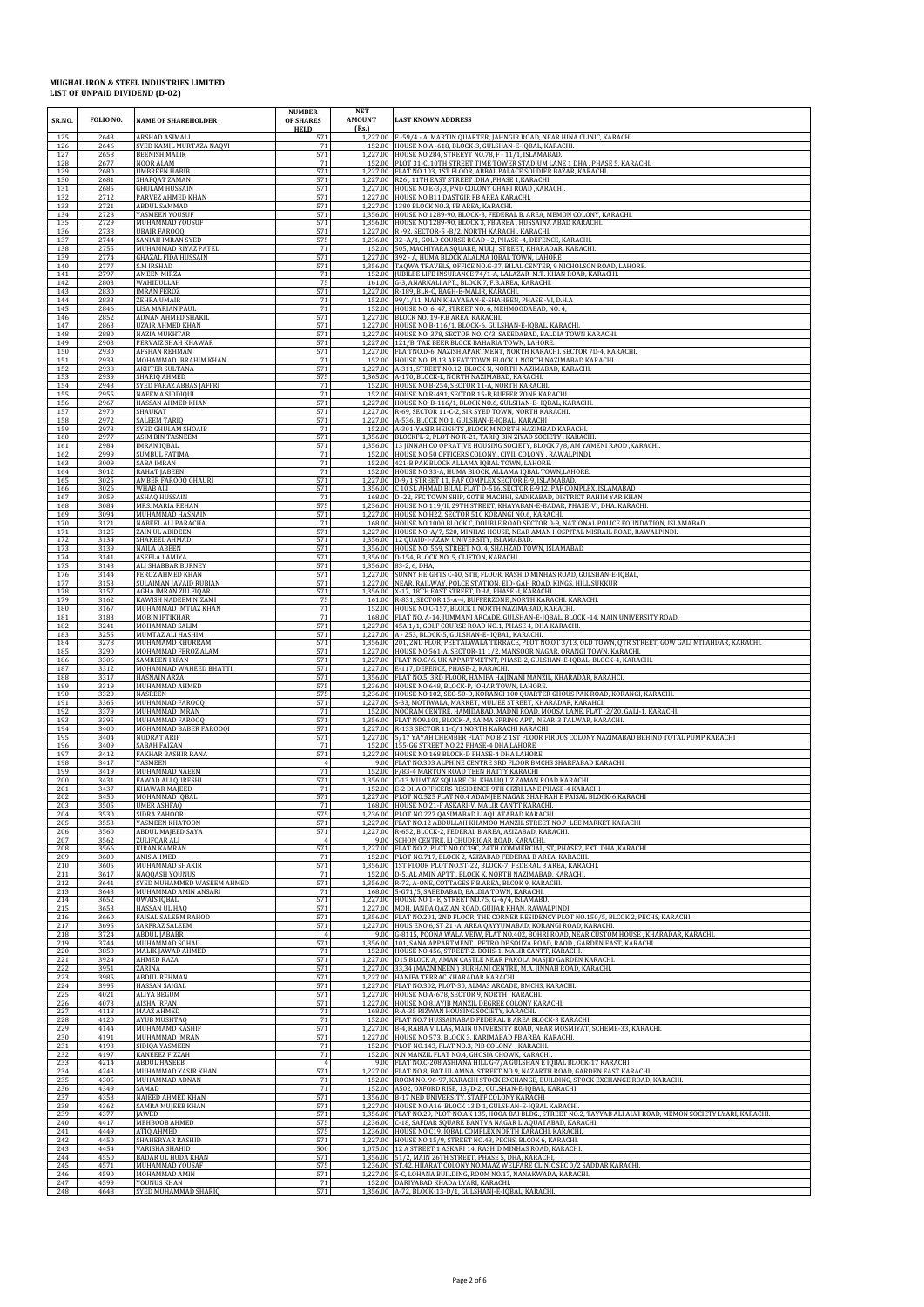| SR.NO.     | FOLIO NO.    | <b>NAME OF SHAREHOLDER</b>            | <b>NUMBER</b><br>OF SHARES<br><b>HELD</b> | <b>NET</b><br><b>AMOUNT</b><br>(Rs.) | <b>LAST KNOWN ADDRESS</b>                                                                                                                                                             |
|------------|--------------|---------------------------------------|-------------------------------------------|--------------------------------------|---------------------------------------------------------------------------------------------------------------------------------------------------------------------------------------|
| 125        | 2643         | ARSHAD ASIMALI                        | 571                                       |                                      | 1,227.00 F-59/4 - A, MARTIN QUARTER, JAHNGIR ROAD, NEAR HINA CLINIC, KARACHI.                                                                                                         |
| 126        | 2646         | SYED KAMIL MURTAZA NAQVI              | 71                                        |                                      | 152.00 HOUSE NO.A -618, BLOCK-3, GULSHAN-E-IQBAL, KARACHI.                                                                                                                            |
| 127        | 2658         | <b>BEENISH MALIK</b>                  | 571                                       |                                      | 1,227.00 HOUSE NO.284, STREEYT NO.78, F - 11/1, ISLAMABAD.                                                                                                                            |
| 128        | 2677         | NOOR ALAM                             | 71                                        | 152.00                               | PLOT 31-C, 10TH STREET TIME TOWER STADIUM LANE 1 DHA, PHASE 5, KARACHI.                                                                                                               |
| 129        | 2680         | <b>UMBREEN HABIB</b>                  | 571                                       | 1.227.00                             | FLAT NO.103, 1ST FLOOR, ABBAL PALACE SOLDIER BAZAR, KARACHI.                                                                                                                          |
| 130        | 2681         | SHAFQAT ZAMAN                         | 571                                       | 1.227.00                             | R26, 11TH EAST STREET .DHA, PHASE 1, KARACHI.                                                                                                                                         |
| 131        | 2685         | <b>GHULAM HUSSAIN</b>                 | 571                                       | 1,227.00                             | HOUSE NO.E-3/3, PND COLONY GHARI ROAD, KARACHI.                                                                                                                                       |
| 132        | 2712         | PARVEZ AHMED KHAN                     | 571                                       |                                      | 1,227.00 HOUSE NO.B11 DASTGIR FB AREA KARACHI.                                                                                                                                        |
| 133        | 2721         | ABDUL SAMMAD                          | 571                                       |                                      | 1,227.00 1380 BLOCK NO.3, FB AREA, KARACHI.                                                                                                                                           |
| 134        | 2728         | YASMEEN YOUSUF                        | 571                                       | 1,356.00                             | 1,356.00 HOUSE NO.1289-90, BLOCK-3, FEDERAL B. AREA, MEMON COLONY, KARACHI.                                                                                                           |
| 135        | 2729         | MUHAMMAD YOUSUF                       | 571                                       |                                      | HOUSE NO.1289-90, BLOCK 3, FB AREA, HUSSAINA ABAD KARACHI                                                                                                                             |
| 136        | 2738         | <b>UBAIR FAROOQ</b>                   | 571                                       | 1,227.00                             | R-92, SECTOR-5-B/2, NORTH KARACHI, KARACHI.                                                                                                                                           |
| 137        | 2744         | SANIAH IMRAN SYED                     | 575                                       | 1.236.00                             | 32 - A/1, GOLD COURSE ROAD - 2, PHASE - 4, DEFENCE, KARACHI                                                                                                                           |
| 138        | 2755         | MUHAMMAD RIYAZ PATEI                  | 71                                        | 152.00                               | 505, MACHIYARA SQUARE, MULJI STREET, KHARADAR, KARACHI.                                                                                                                               |
| 139        | 2774         | <b>GHAZAL FIDA HUSSAIN</b>            | 571                                       |                                      | 1,227.00 392 - A, HUMA BLOCK ALALMA IQBAL TOWN, LAHORE                                                                                                                                |
| 140        | 2777         | S.M IRSHAD                            | 571                                       | 152.00                               | 1,356.00 TAQWA TRAVELS, OFFICE NO.G-37, BILAL CENTER, 9 NICHOLSON ROAD, LAHORE.                                                                                                       |
| 141        | 2797         | <b>AMEEN MIRZA</b>                    | 71                                        |                                      | JUBILEE LIFE INSURANCE 74/1-A, LALAZAR M.T. KHAN ROAD, KARACHI.                                                                                                                       |
| 142        | 2803         | WAHIDULLAH                            | 75                                        | 161.00                               | G-3, ANARKALI APT., BLOCK 7, F.B.AREA, KARACHI.                                                                                                                                       |
| 143        | 2830         | <b>IMRAN FEROZ</b>                    | 571                                       | 152.00                               | 1,227.00 R-189, BLK-C, BAGH-E-MALIR, KARACHI.                                                                                                                                         |
| 144        | 2833         | <b>ZEHRA UMAIR</b>                    | 71                                        |                                      | 99/1/11, MAIN KHAYABAN-E-SHAHEEN, PHASE -VI, D.H.A                                                                                                                                    |
| 145        | 2846         | LISA MARIAN PAUL                      | 71                                        |                                      | 152.00 HOUSE NO. 6, 47, STREET NO. 6, MEHMOODABAD, NO. 4,                                                                                                                             |
| 146        | 2852         | ADNAN AHMED SHAKIL                    | 571                                       |                                      | 1,227.00 BLOCK NO. 19-F.B AREA, KARACHI.                                                                                                                                              |
| 147        | 2863         | <b>UZAIR AHMED KHAN</b>               | 571                                       | 1.227.00                             | HOUSE NO.B-116/1, BLOCK-6, GULSHAN-E-IQBAL, KARACHI.                                                                                                                                  |
| 148        | 2880         | NAZIA MUKHTAR                         | 571                                       |                                      | 1,227.00 HOUSE NO. 378, SECTOR NO. C/3, SAEEDABAD, BALDIA TOWN KARACHI.                                                                                                               |
| 149        | 2903         | PERVAIZ SHAH KHAWAR                   | 571                                       | 1.227.00                             | 121/B, TAK BEER BLOCK BAHARIA TOWN, LAHORE.                                                                                                                                           |
| 150        | 2930         | <b>AFSHAN REHMAN</b>                  | 571                                       | 1.227.00                             | FLA TNO.D-6, NAZISH APARTMENT, NORTH KARACHI. SECTOR 7D-4, KARACHI.                                                                                                                   |
| 151        | 2933         | MOHAMMAD IBRAHIM KHAN                 | 71                                        |                                      | 152.00 HOUSE NO. PL13 ARFAT TOWN BLOCK 1 NORTH NAZIMABAD KARACHI.                                                                                                                     |
| 152        | 2938         | AKHTER SULTANA                        | 571                                       |                                      | 1,227.00 A-311, STREET NO.12, BLOCK N, NORTH NAZIMABAD, KARACHI.                                                                                                                      |
| 153        | 2939         | SHARIQ AHMED                          | 575                                       | 152.00                               | 1,365.00 A-170, BLOCK-L, NORTH NAZIMABAD, KARACHI.                                                                                                                                    |
| 154        | 2943         | SYED FARAZ ABBAS JAFFRI               | 71                                        |                                      | HOUSE NO.B-254, SECTOR 11-A, NORTH KARACHI                                                                                                                                            |
| 155        | 2955         | NAEEMA SIDDIQUI                       | 71                                        | 152.00                               | HOUSE NO.R-491, SECTOR 15-B, BUFFER ZONE KARACHI                                                                                                                                      |
| 156        | 2967         | HASSAN AHMED KHAN                     | 571                                       |                                      | 1,227.00 HOUSE NO. B-116/1, BLOCK NO.6, GULSHAN-E-IQBAL, KARACHI.                                                                                                                     |
| 157        | 2970         | SHAUKAT                               | 571                                       | 1,227.00                             | R-69, SECTOR 11-C-2, SIR SYED TOWN, NORTH KARACHI.                                                                                                                                    |
| 158        | 2972         | <b>SALEEM TARIQ</b>                   | 571                                       |                                      | 1,227.00 A-536, BLOCK NO.1, GULSHAN-E-IQBAL, KARACHI                                                                                                                                  |
| 159        | 2973         | SYED GHULAM SHOAIB                    | 71                                        |                                      | 152.00 A-301-YASIR HEIGHTS ,BLOCK M,NORTH NAZIMBAD KARACHI.                                                                                                                           |
| 160        | 2977         | <b>ASIM BIN TASNEEM</b>               | 571                                       | 1,356.00                             | BLOCKFL-2. PLOT NO R-21. TARIO BIN ZIYAD SOCIETY . KARACHL                                                                                                                            |
| 161        | 2984         | <b>IMRAN IQBAL</b>                    | 571                                       |                                      | 1,356.00 13 JINNAH CO OPRATIVE HOUSING SOCIETY, BLOCK 7/8, AM YAMENI RAOD, KARACHI.                                                                                                   |
| 162        | 2999         | <b>SUMBUL FATIMA</b>                  | 71                                        | 152.00                               | 152.00 HOUSE NO.50 OFFICERS COLONY, CIVIL COLONY, RAWALPINDI.                                                                                                                         |
| 163        | 3009         | <b>SABA IMRAN</b>                     | 71                                        |                                      | 421-B PAK BLOCK ALLAMA JOBAL TOWN, LAHORE                                                                                                                                             |
| 164        | 3012         | RAHAT JABEEN                          | 71                                        |                                      | 152.00 HOUSE NO.33-A, HUMA BLOCK, ALLAMA IQBAL TOWN,LAHORE.                                                                                                                           |
| 165        | 3025         | AMBER FAROOQ GHAURI                   | 571                                       |                                      | 1,227.00 D-9/1 STREET 11, PAF COMPLEX SECTOR E-9, ISLAMABAD.                                                                                                                          |
| 166        | 3026         | WHAB ALI                              | 571                                       | 1.356.00                             | C 10 SL AHMAD BILAL FLAT D-516, SECTOR E-912, PAF COMPLEX, ISLAMABAD                                                                                                                  |
| 167        | 3059         | ASHAQ HUSSAIN                         | 71                                        |                                      | 168.00 D-22, FFC TOWN SHIP, GOTH MACHHI, SADIKABAD, DISTRICT RAHIM YAR KHAN                                                                                                           |
| 168        | 3084         | MRS. MARIA REHAN                      | 575                                       | 1,227.00                             | 1,236.00 HOUSE NO.119/II, 29TH STREET, KHAYABAN-E-BADAR, PHASE-VI, DHA. KARACHI                                                                                                       |
| 169        | 3094         | MUHAMMAD HASNAIN                      | 571                                       |                                      | HOUSE NO.H22, SECTOR 51C KORANGI NO.6, KARACHI.                                                                                                                                       |
| 170        | 3121         | NABEEL ALI PARACHA                    | 71                                        |                                      | 168.00 HOUSE NO.1000 BLOCK C, DOUBLE ROAD SECTOR 0-9, NATIONAL POLICE FOUNDATION, ISLAMABAD.                                                                                          |
| 171        | 3125         | ZAIN UL ABIDEEN                       | 571                                       |                                      | 1,227.00 HOUSE NO. A/7, 520, MINHAS HOUSE, NEAR AMAN HOSPITAL MISRAIL ROAD, RAWALPINDI.                                                                                               |
| 172        | 3134         | SHAKEEL AHMAD                         | 571                                       |                                      | 1,356.00 12 QUAID-I-AZAM UNIVERSITY, ISLAMABAD.                                                                                                                                       |
| 173        | 3139         | NAILA JABEEN                          | 571                                       | 1,356.00                             | HOUSE NO. 569, STREET NO. 4, SHAHZAD TOWN, ISLAMABAD                                                                                                                                  |
| 174        | 3141         | ASEELA LAMIYA                         | 571                                       | 1,356.00                             | D-154, BLOCK NO. 5, CLIFTON, KARACHI.                                                                                                                                                 |
| 175        | 3143         | ALI SHABBAR BURNEY                    | 571                                       |                                      | 1,356.00 83-2, 6, DHA,                                                                                                                                                                |
| 176        | 3144         | FEROZ AHMED KHAN                      | 571                                       |                                      | 1,227.00 SUNNY HEIGHTS C-40, STH, FLOOR, RASHID MINHAS ROAD, GULSHAN-E-IQBAL,                                                                                                         |
| 177        | 3153         | SULAIMAN JAVAID RUBIAN                | 571                                       | 1,356.00                             | 1,227.00 NEAR, RAILWAY, POLCE STATION, EID- GAH ROAD, KINGS, HILL, SUKKUR                                                                                                             |
| 178        | 3157         | AGHA IMRAN ZULFIQAR                   | 571                                       |                                      | X-17, 18TH EAST STREET, DHA, PHASE -I, KARACHI.                                                                                                                                       |
| 179        | 3162         | KAWISH NADEEM NIZAMI                  | 75                                        | 161.00                               | R-831, SECTOR 15-A-4, BUFFERZONE , NORTH KARACHI. KARACHI.                                                                                                                            |
| 180        | 3167         | MUHAMMAD IMTIAZ KHAN                  | 71                                        | 152.00                               | HOUSE NO.C-157, BLOCK I, NORTH NAZIMABAD, KARACHI.                                                                                                                                    |
| 181        | 3183         | MOBIN IFTIKHAR                        | 71                                        | 1.227.00                             | 168.00 FLAT NO. A-14, JUMMANI ARCADE, GULSHAN-E-IQBAL, BLOCK -14, MAIN UNIVERSITY ROAD,                                                                                               |
| 182        | 3241         | MOHAMMAD SALIM                        | 571                                       |                                      | 45A 1/1, GOLF COURSE ROAD NO.1, PHASE 4, DHA KARACHI.                                                                                                                                 |
| 183        | 3255         | MUMTAZ ALI HASHIM<br>MUHAMAMD KHURRAM | 571                                       |                                      | 1,227.00 A - 253, BLOCK-5, GULSHAN-E- IQBAL, KARACHI.                                                                                                                                 |
| 184<br>185 | 3278<br>3290 | MOHAMMAD FEROZ ALAM                   | 571<br>571                                | 1.227.00                             | 1,356.00 201, 2ND FLOR, PEETALWALA TERRACE, PLOT NO.OT 3/13, OLD TOWN, QTR STREET, GOW GALI MITAHDAR, KARACHI.<br>HOUSE NO.561-A, SECTOR-11 1/2, MANSOOR NAGAR, ORANGI TOWN, KARACHI. |
| 186        | 3306         | SAMREEN IRFAN                         | 571                                       |                                      | 1,227.00 FLAT NO.C/6, UK APPARTMETNT, PHASE-2, GULSHAN-E-IQBAL, BLOCK-4, KARACHI                                                                                                      |
| 187        | 3312         | MOHAMMAD WAHEED BHATTI                | 571                                       |                                      | 1,227.00 E-117, DEFENCE, PHASE-2, KARACHI.                                                                                                                                            |
| 188        | 3317         | <b>HASNAIN ARZA</b>                   | 571                                       |                                      | 1,356.00 FLAT NO.5, 3RD FLOOR, HANIFA HAJINANI MANZIL, KHARADAR, KARAHCI                                                                                                              |
| 189        | 3319         | MUHAMMAD AHMED                        | 575                                       |                                      | 1,236.00 HOUSE NO.648, BLOCK-P, JOHAR TOWN, LAHORE.                                                                                                                                   |
| 190        | 3320         | NASREEN                               | 575                                       | 1,227.00                             | 1,236.00 HOUSE NO.102, SEC-50-D, KORANGI 100 QUARTER GHOUS PAK ROAD, KORANGI, KARACHI.                                                                                                |
| 191        | 3365         | MUHAMMAD FAROOQ                       | 571                                       |                                      | S-33, MOTIWALA, MARKET, MULJEE STREET, KHARADAR, KARAHCI.                                                                                                                             |
| 192        | 3379         | MUHAMMAD IMRAN                        | 71                                        | 152.00                               | NOORAM CENTRE, HAMIDABAD, MADNI ROAD, MOOSA LANE, FLAT -2/20, GALI-1, KARACHI.                                                                                                        |
| 193        | 3395         | MUHAMMAD FAROOQ                       | 571                                       | 1.356.00                             | FLAT NO9.101, BLOCK-A, SAIMA SPRING APT, NEAR-3 TALWAR, KARACHI                                                                                                                       |
| 194        | 3400         | MOHAMMAD BABER FAROOQI                | 571                                       | 1,227.00                             | 1,227.00 R-133 SECTOR 11-C/1 NORTH KARACHI KARACHI                                                                                                                                    |
| 195        | 3404         | <b>NUDRAT ARIF</b>                    | 571                                       |                                      | 5/17 YAYAH CHEMBER FLAT NO.B-2 1ST FLOOR FIRDOS COLONY NAZIMABAD BEHIND TOTAL PUMP KARACHI                                                                                            |
| 196        | 3409         | <b>SABAH FAIZAN</b>                   | 71                                        | 1,227.00                             | 152.00 155-GG STREET NO.22 PHASE-4 DHA LAHORE                                                                                                                                         |
| 197        | 3412         | FAKHAR BASHIR RANA                    | 571                                       |                                      | HOUSE NO.168 BLOCK-D PHASE-4 DHA LAHORE                                                                                                                                               |
| 198<br>199 | 3417         | YASMEEN<br>MUHAMMAD NAEEM             | $71\,$                                    | 9.00                                 | FLAT NO.303 ALPHINE CENTRE 3RD FLOOR BMCHS SHARFABAD KARACHI<br>F/83-4 MARTON ROAD TEEN HATTY KARACHI                                                                                 |
| 200        | 3419<br>3431 | FAWAD ALI QURESHI                     | 571                                       | 152.00<br>1,356.00                   | C-13 MUMTAZ SQUARE CH. KHALIQ UZ ZAMAN ROAD KARACHI                                                                                                                                   |
| 201        | 3437         | <b>KHAWAR MAJEED</b>                  | 71                                        |                                      | 152.00 E-2 DHA OFFICERS RESIDENCE 9TH GIZRI LANE PHASE-4 KARACHI                                                                                                                      |
| 202        | 3450         | MOHAMMAD IQBAL                        | 571                                       |                                      | 1,227.00 PLOT NO.525 FLAT NO.4 ADAMJEE NAGAR SHAHRAH E FAISAL BLOCK-6 KARACHI                                                                                                         |
| 203<br>204 | 3505<br>3530 | <b>UMER ASHFAC</b><br>SIDRA ZAHOOR    | 575                                       | 1.236.00                             | 168.00 HOUSE NO.21-F ASKARI-V, MALIR CANTT KARACHI<br>PLOT NO.227 QASIMABAD LIAQUATABAD KARACHI.                                                                                      |
| 205        | 3553         | YASMEEN KHATOON                       | 571                                       | 1.227.00                             | FLAT NO.12 ABDULLAH KHAMOO MANZIL STREET NO.7 LEE MARKET KARACHI                                                                                                                      |
| 206        | 3560         | <b>ABDUL MAJEED SAYA</b>              | 571                                       |                                      | 1,227.00 R-652, BLOCK-2, FEDERAL B AREA, AZIZABAD, KARACHI.                                                                                                                           |
| 207<br>208 | 3562<br>3566 | ZULIFQAR ALI<br><b>KIRAN KAMRAN</b>   | 571                                       | 9.00                                 | SCHON CENTRE, I.I CHUDRIGAR ROAD, KARACHI.<br>1,227.00 FLAT NO.2, PLOT NO.CC39C, 24TH COMMERCIAL, ST, PHASE2, EXT.DHA, KARACHI.                                                       |
| 209        | 3600         | ANIS AHMED                            | 71                                        | 1,356.00                             | 152.00 PLOT NO.717, BLOCK 2, AZIZABAD FEDERAL B AREA, KARACHI.                                                                                                                        |
| 210        | 3605         | MUHAMMAD SHAKIR                       | 571                                       |                                      | 1ST FLOOR PLOT NO.ST-22, BLOCK-7, FEDERAL B AREA, KARACHI.                                                                                                                            |
| 211        | 3617         | NAQQASH YOUNUS                        | 71                                        | 152.00                               | D-5, AL AMIN APTT., BLOCK K, NORTH NAZIMABAD, KARACHI.                                                                                                                                |
| 212        | 3641         | SYED MUHAMMED WASEEM AHMED            | 571                                       | 1,356.00                             | R-72, A-ONE, COTTAGES F.B.AREA, BLCOK 9, KARACHI.                                                                                                                                     |
| 213        | 3643         | MUHAMMAD AMIN ANSARI                  | 71                                        | 168.00                               | 5-G71/5, SAEEDABAD, BALDIA TOWN, KARACHI.                                                                                                                                             |
| 214        | 3652         | OWAIS IQBAL                           | 571                                       |                                      | 1,227.00 HOUSE NO.1- E, STREET NO.75, G -6/4, ISLAMABD.                                                                                                                               |
| 215        | 3653         | <b>HASSAN UL HAQ</b>                  | 571                                       |                                      | 1,227.00 MOH, JANDA QAZIAN ROAD, GUJJAR KHAN, RAWALPINDI.                                                                                                                             |
| 216        | 3660         | FAISAL SALEEM RAHOD                   | 571                                       | 1,356.00                             | FLAT NO.201, 2ND FLOOR, THE CORNER RESIDENCY PLOT NO.150/5, BLCOK 2, PECHS, KARACHI.                                                                                                  |
| 217        | 3695         | SARFRAZ SALEEM                        | 571                                       | 1.227.00                             | HOUS ENO.6, ST 21 -A, AREA QAYYUMABAD, KORANGI ROAD, KARACHI.                                                                                                                         |
| 218        | 3724         | ABDUL JABABR                          | 571                                       | 9.00                                 | G-8115, POONA WALA VEIW, FLAT NO.402, BOHRI ROAD, NEAR CUSTOM HOUSE, KHARADAR, KARACHI.                                                                                               |
| 219        | 3744         | MUHAMMAD SOHAIL                       |                                           | 1,356.00                             | 101, SANA APPARTMENT, PETRO DF SOUZA ROAD, RAOD, GARDEN EAST, KARACHI.                                                                                                                |
| 220        | 3850         | MALIK JAWAD AHMED                     | 71                                        |                                      | 152.00 HOUSE NO.456, STREET-2, DOHS-1, MALIR CANTT, KARACHI                                                                                                                           |
| 221        | 3924         | AHMED RAZA                            | 571                                       |                                      | 1,227.00 D15 BLOCK A, AMAN CASTLE NEAR PAKOLA MASJID GARDEN KARACHI.                                                                                                                  |
| 222        | 3951         | ZARINA                                | 571                                       | 1,227.00                             | 33,34 (MAZNINEEN) BURHANI CENTRE, M.A. JINNAH ROAD, KARACHI.                                                                                                                          |
| 223        | 3985         | <b>ABDUL REHMAN</b>                   | 571                                       | 1,227.00                             | HANIFA TERRAC KHARADAR KARACHI.                                                                                                                                                       |
| 224        | 3995         | HASSAN SAIGAL                         | 571                                       | 1.227.00                             | FLAT NO.302, PLOT-30, ALMAS ARCADE, BMCHS, KARACHI.                                                                                                                                   |
| 225        | 4021         | <b>ALIYA BEGUM</b>                    | 571                                       | 1,227.00                             | HOUSE NO.A-678, SECTOR 9, NORTH, KARACHI.                                                                                                                                             |
| 226        | 4073         | <b>AISHA IRFAN</b>                    | 571                                       | 1,227.00                             | HOUSE NO.8. AYIB MANZIL DEGREE COLONY KARACHI.                                                                                                                                        |
| 227        | 4118         | MAAZ AHMED                            | 71                                        |                                      | 168.00 R-A-35 RIZWAN HOUSING SOCIETY, KARACHI.                                                                                                                                        |
| 228        | 4120         | <b>AYUB MUSHTAO</b>                   | 71                                        |                                      | 152.00 FLAT NO.7 HUSSAINABAD FEDERAL B AREA BLOCK-3 KARACHI                                                                                                                           |
| 229        | 4144         | MUHAMAMD KASHIF                       | 571                                       | 1,227.00                             | B-4, RABIA VILLAS, MAIN UNIVERSITY ROAD, NEAR MOSMIYAT, SCHEME-33, KARACHI.                                                                                                           |
| 230        | 4191         | MUHAMMAD IMRAN                        | 571                                       | 1.227.00                             | HOUSE NO.573, BLOCK 3, KARIMABAD FB AREA ,KARACHI,                                                                                                                                    |
| 231        | 4193         | SIDIQA YASMEEN                        | 71                                        | 152.00                               | 152.00 PLOT NO.143, FLAT NO.3, PIB COLONY , KARACHI.                                                                                                                                  |
| 232        | 4197         | KANEEEZ FIZZAH                        | 71                                        |                                      | N.N MANZIL FLAT NO.4, GHOSIA CHOWK, KARACHI.                                                                                                                                          |
| 233        | 4214         | <b>ABDUL HASEEB</b>                   | $\overline{4}$                            | 1,227.00                             | 9.00 FLAT NO.C-208 ASHIANA HILL G-7/A GULSHAN E IQBAL BLOCK-17 KARACHI                                                                                                                |
| 234        | 4243         | MUHAMMAD YASIR KHAN                   | 571                                       |                                      | FLAT NO.8, BAT UL AMNA, STREET NO.9, NAZARTH ROAD, GARDEN EAST KARACHI.                                                                                                               |
| 235        | 4305         | MUHAMMAD ADNAN                        | 71                                        | 152.00                               | ROOM NO. 96-97, KARACHI STOCK EXCHANGE, BUILDING, STOCK EXCHANGE ROAD, KARACHI.                                                                                                       |
| 236        | 4349         | SAMAD                                 | 71                                        | 152.00                               | A502, OXFORD RISE, 13/D-2, GULSHAN-E-IQBAL, KARACHI.                                                                                                                                  |
| 237        | 4353         | NAJEED AHMED KHAN                     | 571                                       | 1,356.00                             | B-17 NED UNIVERSITY, STAFF COLONY KARACHI                                                                                                                                             |
| 238        | 4362         | SAMRA MUJEEB KHAN                     | 571                                       | 1,227.00                             | HOUSE NO.A16, BLOCK 13 D 1, GULSHAN-E-IQBAL KARACHI.                                                                                                                                  |
| 239        | 4377         | <b>IAWED</b>                          | 571                                       |                                      | 1,356.00 FLAT NO.29, PLOT NO.AK 135, HOOA BAI BLDG., STREET NO.2, TAYYAB ALI ALVI ROAD, MEMON SOCIETY LYARI, KARACHI.                                                                 |
| 240        | 4417         | MEHBOOB AHMED                         | 575                                       |                                      | 1,236.00 C-18, SAFDAR SQUARE BANTVA NAGAR LIAQUATABAD, KARACHI.                                                                                                                       |
| 241        | 4449         | ATIQ AHMED                            | 575                                       |                                      | 1,236.00 HOUSE NO.C19, IQBAL COMPLEX NORTH KARACHI, KARACHI.                                                                                                                          |
| 242        | 4450         | SHAHERYAR RASHID                      | 571                                       | 1,227.00                             | HOUSE NO.15/9, STREET NO.43, PECHS, BLCOK 6, KARACHI.                                                                                                                                 |
| 243        | 4454         | VARISHA SHAHID                        | 500                                       | 1,075.00                             | 12 A STREET 1 ASKARI 14, RASHID MINHAS ROAD, KARACHI.                                                                                                                                 |
| 244        | 4550         | <b>BADAR UL HUDA KHAN</b>             | 571                                       | 1,236.00                             | 1,356.00 51/2, MAIN 26TH STREET, PHASE 5, DHA, KARACHI,                                                                                                                               |
| 245        | 4571         | MUHAMMAD YOUSAF                       | 575                                       |                                      | ST.42, HIJARAT COLONY NO.MAAZ WELFARE CLINIC SEC 0/2 SADDAR KARACHI.                                                                                                                  |
| 246        | 4590         | MOHAMMAD AMIN                         | 571                                       |                                      | 1,227.00 5-C, LOHANA BUILDING, ROOM NO.17, NANAKWADA, KARACHI.                                                                                                                        |
| 247        | 4599         | YOUNUS KHAN                           | 71                                        |                                      | 152.00 DARIYABAD KHADA LYARI, KARACHI.                                                                                                                                                |
| 248        | 4648         | SYED MUHAMMAD SHARIQ                  | 571                                       |                                      | 1,356.00 A-72, BLOCK-13-D/1, GULSHANJ-E-IQBAL, KARACHI.                                                                                                                               |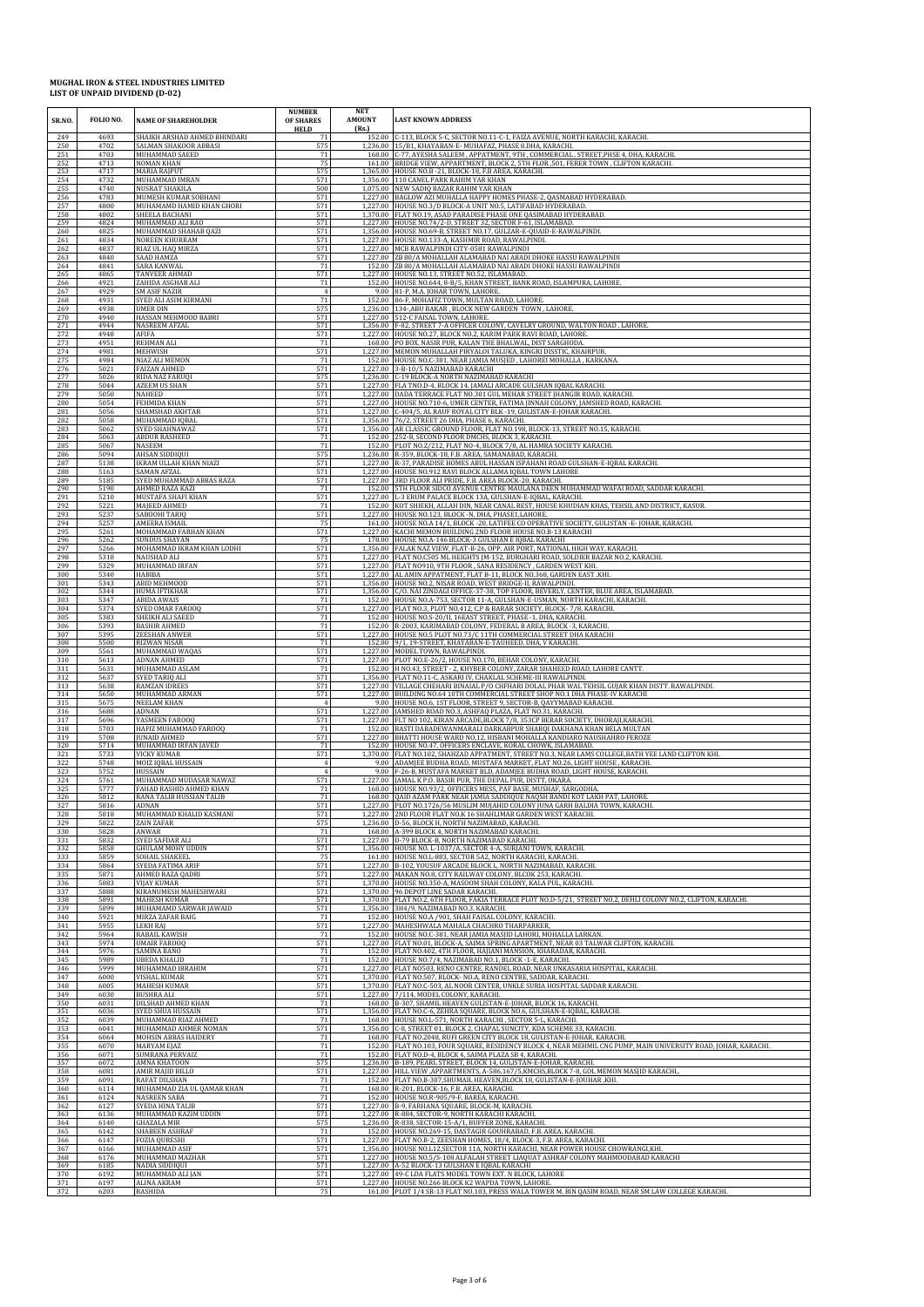| SR.NO.     | FOLIO NO.    | <b>NAME OF SHAREHOLDER</b>           | <b>NUMBER</b><br><b>OF SHARES</b><br><b>HELD</b> | NET<br><b>AMOUNT</b><br>(Rs.) | <b>LAST KNOWN ADDRESS</b>                                                                                                                                 |
|------------|--------------|--------------------------------------|--------------------------------------------------|-------------------------------|-----------------------------------------------------------------------------------------------------------------------------------------------------------|
| 249        | 4693         | SHAIKH ARSHAD AHMED BHINDARI         | 71                                               | 1.236.00                      | 152.00 C-113, BLOCK 5-C, SECTOR NO.11-C-1, FAIZA AVENUE, NORTH KARACHI, KARACHI.                                                                          |
| 250        | 4702         | SALMAN SHAKOOR ABBASI                | 575                                              |                               | 15/B1, KHAYABAN-E- MUHAFAZ, PHASE 8.DHA, KARACHI.                                                                                                         |
| 251        | 4703         | MUHAMMAD SAEED                       | 71                                               | 168.00                        | C-77, AYESHA SALEEM, APPATMENT, 9TH, COMMERCIAL, STREET, PHSE 4, DHA, KARACHI.                                                                            |
| 252        | 4713         | <b>NOMAN KHAN</b>                    | 75                                               |                               | 161.00 BRIDGE VIEW, APPARTMENT, BLOCK 2, 5TH FLOR .501, FERER TOWN , CLIFTON KARACHI.                                                                     |
| 253        | 4717         | MARIA RAJPUT                         | 575                                              |                               | 1,365.00 HOUSE NO.B - 21, BLOCK-18, F.B AREA, KARACHI.                                                                                                    |
| 254        | 4732         | MUHAMMAD IMRAN                       | 571                                              |                               | 1,356.00 110 CANEL PARK RAHIM YAR KHAN                                                                                                                    |
| 255        | 4740         | <b>NUSRAT SHAKILA</b>                | 500                                              | 1.075.00                      | NEW SADIQ BAZAR RAHIM YAR KHAN                                                                                                                            |
| 256        | 4783         | MUMESH KUMAR SOBHANI                 | 571                                              | 1,227.00                      | BAGLOW AZI MUHALLA HAPPY HOMES PHASE-2, QASMABAD HYDERABAD.                                                                                               |
| 257        | 4800         | MUHAMAMD HAMID KHAN GHORI            | 571                                              |                               | 1,227.00 HOUSE NO.3/D BLOCK-A UNIT NO.5, LATIFABAD HYDERABAD.                                                                                             |
| 258        | 4802         | SHEELA BACHANI                       | 571                                              |                               | 1,370.00 FLAT NO.19, ASAD PARADISE PHASE ONE QASIMABAD HYDERABAD.                                                                                         |
| 259        | 4824         | MUHAMMAD ALI RAO                     | 571                                              |                               | 1,227.00 HOUSE NO.74/2-D, STREET 32, SECTOR F-61, ISLAMABAD.                                                                                              |
| 260        | 4825         | MUHAMMAD SHAHAB QAZI                 | 571                                              |                               | 1,356.00 HOUSE NO.69-B, STREET NO.17, GULZAR-E-QUAID-E-RAWALPINDI.                                                                                        |
| 261        | 4834         | NOREEN KHURRAM                       | 571                                              |                               | 1,227.00 HOUSE NO.133-A, KASHMIR ROAD, RAWALPINDI.                                                                                                        |
| 262        | 4837         | RIAZ UL HAQ MIRZA                    | 571                                              |                               | 1,227.00 MCB RAWALPINDI CITY-0581 RAWALPINDI                                                                                                              |
| 263        | 4840         | SAAD HAMZA                           | 571                                              |                               | 1,227.00 ZB 80/A MOHALLAH ALAMABAD NAI ABADI DHOKE HASSU RAWALPINDI                                                                                       |
| 264        | 4841         | <b>SARA KANWAL</b>                   | 71                                               |                               | 152.00 ZB 80/A MOHALLAH ALAMABAD NAI ABADI DHOKE HASSU RAWALPINDI                                                                                         |
| 265        | 4865         | TANVEER AHMAD                        | 571                                              |                               | 1,227.00 HOUSE NO.13, STREET NO.52, ISLAMABAD.                                                                                                            |
| 266        | 4921         | ZAHIDA ASGHAR ALI                    | 71                                               | 9.00                          | 152.00 HOUSE NO.644, 8-B/5, KHAN STREET, BANK ROAD, ISLAMPURA, LAHORE.                                                                                    |
| 267        | 4929         | <b>SM ASIF NAZIR</b>                 | $\overline{4}$                                   |                               | 81-P, M.A. JOHAR TOWN, LAHORE.                                                                                                                            |
| 268        | 4931         | SYED ALI ASIM KIRMANI                | 71                                               |                               | 152.00 86-F, MOHAFIZ TOWN, MULTAN ROAD, LAHORE.                                                                                                           |
| 269        | 4938         | <b>UMER DIN</b>                      | 575                                              |                               | 1,236.00 134-,ABU BAKAR, BLOCK NEW GARDEN TOWN, LAHORE.                                                                                                   |
| 270        | 4940         | HASSAN MEHMOOD BABRI                 | 571                                              | 1,227.00                      | 512-C FAISAL TOWN, LAHORE.                                                                                                                                |
| 271        | 4944         | NASREEM AFZAL                        | 571                                              |                               | 1,356.00 F-82, STREET 7-A OFFICER COLONY, CAVELRY GROUND, WALTON ROAD, LAHORE.                                                                            |
| 272        | 4948         | AFIFA                                | 571                                              |                               | 1,227.00 HOUSE NO.27, BLOCK NO.2, KARIM PARK RAVI ROAD, LAHORE.                                                                                           |
| 273        | 4951         | REHMAN ALI                           | 71                                               |                               | 168.00 PO BOX. NASIR PUR, KALAN THE BHALWAL, DIST SARGHODA.                                                                                               |
| 274        | 4981         | MEHWISH                              | 571                                              | 1.227.00                      | MEMON MUHALLAH PIRYALOI TALUKA, KINGRI DISSTIC, KHAIRPUR                                                                                                  |
| 275        | 4984         | NIAZ ALI MEMON                       | 71                                               |                               | 152.00 HOUSE NO.C-381, NEAR JAMIA MUSJED, LAHOREI MOHALLA, KARKANA                                                                                        |
| 276        | 5021         | <b>FAIZAN AHMED</b>                  | 571                                              | 1,227.00                      | 3-B-10/5 NAZIMABAD KARACHI                                                                                                                                |
| 277        | 5026         | RIDA NAZ FARUQI                      | 575                                              |                               | 1,236.00 C-19 BLOCK-A NORTH NAZIMABAD KARACHI                                                                                                             |
| 278        | 5044         | <b>AZEEM US SHAN</b>                 | 571                                              |                               | 1,227.00 FLA TNO.D-4, BLOCK 14, JAMALI ARCADE GULSHAN IQBAL KARACHI.                                                                                      |
| 279        | 5050         | <b>NAHEED</b>                        | 571                                              |                               | 1,227.00 DADA TERRACE FLAT NO.301 GUL MEHAR STREET JHANGIR ROAD, KARACHI.                                                                                 |
| 280        | 5054         | FEHMIDA KHAN                         | 571                                              | 1,227.00                      | HOUSE NO.710-6, UMER CENTER, FATIMA JINNAH COLONY, JAMSHED ROAD, KARACHI.                                                                                 |
| 281        | 5056         | SHAMSHAD AKHTAR                      | 571                                              | 1.227.00                      | C-404/5, AL RAUF ROYAL CITY BLK -19, GULISTAN-E-JOHAR KARACHI.                                                                                            |
| 282        | 5058         | MUHAMMAD IQBAL                       | 571                                              | 1,356.00                      | 1,356.00 76/2, STREET 26 DHA, PHASE 6, KARACHI.                                                                                                           |
| 283        | 5062         | SYED SHAHNAWAZ                       | 571                                              |                               | AR CLASSIC GROUND FLOOR, FLAT NO.198, BLOCK-13, STREET NO.15, KARACHI.                                                                                    |
| 284        | 5063         | <b>ABDUR RASHEED</b>                 | 71                                               |                               | 152.00 252-B, SECOND FLOOR DMCHS, BLOCK 3, KARACHI.                                                                                                       |
| 285        | 5067         | NASEEM                               | $71\,$                                           |                               | 152.00 PLOT NO.Z/212, FLAT NO-4, BLOCK 7/8, AL HAMRA SOCIETY KARACHI.                                                                                     |
| 286        | 5094         | AHSAN SIDDIQUI                       | 575                                              | 1.236.00                      | R-359, BLOCK-18, F.B. AREA, SAMANABAD, KARACHI.                                                                                                           |
| 287        | 5138         | IKRAM ULLAH KHAN NIAZI               | 571                                              |                               | 1,227.00 R-37, PARADISE HOMES ABUL HASSAN ISPAHANI ROAD GULSHAN-E-IQBAL KARACHI.                                                                          |
| 288        | 5163         | SAMAN AFZAL                          | 571                                              | 1.227.00                      | 1,227.00 HOUSE NO.912 RAVI BLOCK ALLAMA IQBAL TOWN LAHORE                                                                                                 |
| 289        | 5185         | SYED MUHAMMAD ABBAS RAZA             | 571                                              |                               | 3RD FLOOR ALI PRIDE, F.B. AREA BLOCK-20, KARACHI.                                                                                                         |
| 290        | 5190         | AHMED RAZA KAZI                      | 71                                               |                               | 152.00 5TH FLOOR SIDCO AVENUE CENTRE MAULANA DEEN MUHAMMAD WAFAI ROAD, SADDAR KARACHI.                                                                    |
| 291        | 5210         | MUSTAFA SHAFI KHAN                   | 571                                              |                               | 1,227.00 L-3 ERUM PALACE BLOCK 13A, GULSHAN-E-IQBAL, KARACHI.                                                                                             |
| 292        | 5221         | MAJEED AHMED                         | 71                                               |                               | 152.00 KOT SHIEKH, ALLAH DIN, NEAR CANAL REST, HOUSE KHUDIAN KHAS, TEHSIL AND DISTRICT, KASUR.                                                            |
| 293        | 5237         | SABOOHI TARIQ                        | 571                                              |                               | 1,227.00 HOUSE NO.123, BLOCK -N, DHA, PHASE1,LAHORE.                                                                                                      |
| 294        | 5257         | AMEERA ISMAIL                        | 75                                               |                               | 161.00 HOUSE NO.A 14/1, BLOCK - 20, LATIFEE CO OPERATIVE SOCIETY, GULISTAN - E-JOHAR, KARACHI.                                                            |
| 295        | 5261         | MOHAMMAD FARHAN KHAN                 | 571                                              |                               | 1,227.00 KACHI MEMON BUILDING 2ND FLOOR HOUSE NO.B-13 KARACHI                                                                                             |
| 296        | 5262         | <b>SUNDUS SHAYAN</b>                 | 75                                               |                               | 178.00 HOUSE NO.A-146 BLOCK-3 GULSHAN E IQBAL KARACHI                                                                                                     |
| 297        | 5266         | MOHAMMAD IKRAM KHAN LODHI            | 571                                              |                               | 1,356.00 FALAK NAZ VIEW, FLAT-B-26, OPP. AIR PORT, NATIONAL HIGH WAY, KARACHI.                                                                            |
| 298        | 5318         | NAUSHAD ALI                          | 571                                              |                               | 1,227.00 FLAT NO.C505 ML HEIGHTS JM-152, BURGHARI ROAD, SOLDIER BAZAR NO.2, KARACHI.                                                                      |
| 299<br>300 | 5329<br>5340 | MUHAMMAD IRFAN<br><b>HABIBA</b>      | 571<br>571<br>571                                | 1.227.00                      | 1,227.00 FLAT NO910, 9TH FLOOR, SANA RESIDENCY, GARDEN WEST KHI.<br>AL AMIN APPATMENT, FLAT B-11, BLOCK NO.368, GARDEN EAST .KHI                          |
| 301<br>302 | 5343<br>5344 | ABID MEHMOOD<br><b>HUMA IFTIKHAR</b> | 571                                              |                               | 1,356.00 HOUSE NO.2, NISAR ROAD, WEST BRIDGE-II, RAWALPINDI.<br>1,356.00 C/O. NAI ZINDAGI OFFICE-37-38, TOP FLOOR, BEVERLY, CENTER, BLUE AREA, ISLAMABAD. |
| 303        | 5347         | ABIDA AWAIS                          | 71                                               |                               | 152.00 HOUSE NO.A-753, SECTOR 11-A, GULSHAN-E-USMAN, NORTH KARACHI, KARACHI.                                                                              |
| 304        | 5374         | SYED OMAR FAROOQ                     | 571                                              |                               | 1,227.00 FLAT NO.3, PLOT NO.412, C.P & BARAR SOCIETY, BLOCK-7/8, KARACHI.                                                                                 |
| 305        | 5383         | SHEIKH ALI SAEED                     | 71                                               | 152.00                        | HOUSE NO.S-20/II, 16EAST STREET, PHASE -1, DHA, KARACHI.                                                                                                  |
| 306        | 5393         | <b>BASHIR AHMED</b>                  | 71                                               |                               | 152.00 R-2003, KARIMABAD COLONY, FEDERAL B AREA, BLOCK -3, KARACHI.                                                                                       |
| 307        | 5395         | ZEESHAN ANWER                        | 571                                              |                               | 1,227.00 HOUSE NO.5 PLOT NO.73/C 11TH COMMERCIAL STREET DHA KARACHI                                                                                       |
| 308        | 5500         | <b>RIZWAN NISAR</b>                  | 71                                               |                               | 152.00 9/1, 19-STREET, KHAYABAN-E-TAUHEED, DHA, V KARACHI                                                                                                 |
| 309        | 5561         | MUHAMMAD WAQAS                       | 571                                              |                               | 1,227.00 MODEL TOWN, RAWALPINDI.                                                                                                                          |
| 310        | 5613         | ADNAN AHMED                          | 571                                              |                               | 1,227.00 PLOT NO.E-26/2, HOUSE NO.170, BEHAR COLONY, KARACHI.                                                                                             |
| 311        | 5631         | MUHAMMAD ASLAM                       | 71                                               |                               | 152.00 H NO.43, STREET - 2, KHYBER COLONY, ZARAR SHAHEED ROAD, LAHORE CANTT.                                                                              |
| 312        | 5637         | SYED TARIQ ALI                       | 571                                              |                               | 1,356.00 FLAT NO.11-C, ASKARI IV, CHAKLAL SCHEME-III RAWALPINDI.                                                                                          |
| 313        | 5638         | <b>RAMZAN IDREES</b>                 | 571                                              |                               | 1,227.00 VILLAGE CHEHARI BINAIAL P/O CHFHARI DOLAL PHAR WAL TEHSIL GUJAR KHAN DISTT. RAWALPINDI.                                                          |
| 314        | 5650         | MUHAMMAD ARMAN                       | 571                                              |                               | 1,227.00 BUILDING NO.64 10TH COMMERCIAL STREET SHOP NO.1 DHA PHASE-IV KARACHI                                                                             |
| 315        | 5675         | <b>NEELAM KHAN</b>                   | $\overline{4}$                                   |                               | 9.00 HOUSE NO.6, 1ST FLOOR, STREET 9, SECTOR-B, QAYYMABAD KARACHI.                                                                                        |
| 316        | 5688         | ADNAN                                | 571                                              |                               | 1,227.00 JAMSHED ROAD NO.3, ASHFAQ PLAZA, FLAT NO.31, KARACHI.                                                                                            |
| 317        | 5696         | YASMEEN FAROOQ                       | 571                                              |                               | 1,227.00 FLT NO 102, KIRAN ARCADE, BLOCK 7/8, 353CP BERAR SOCIETY, DHORAJI, KARACHI.                                                                      |
| 318        | 5703         | HAFIZ MUHAMMAD FAROOQ                | 71                                               |                               | 152.00 BASTI DABADEWANMARALI DARKABPUR SHARQI DAKHANA KHAN BELA MULTAN                                                                                    |
| 319        | 5708         | JUNAID AHMED                         | 571                                              |                               | 1,227.00 BHATTI HOUSE WARD NO,12, HISBANI MOHALLA KANDIARO NAUSHAHRO FEROZE                                                                               |
| 320        | 5714         | MUHAMMAD IRFAN JAVED                 | 71                                               |                               | 152.00 HOUSE NO.47, OFFICERS ENCLAVE, KORAL CHOWK, ISLAMABAD.                                                                                             |
| 321        | 5733         | <b>VICKY KUMAR</b>                   | 571                                              |                               | 1.370.00 FLAT NO.102. SHAHZAD APPATMENT, STREET NO.3. NEAR LAMS COLLEGE BATH YEE LAND CLIFTON KHI.                                                        |
| 322        | 5748         | MOIZ IQBAL HUSSAIN                   | $\overline{4}$                                   |                               | 9.00 ADAMIEE BUDHA ROAD, MUSTAFA MARKET, FLAT NO.26, LIGHT HOUSE, KARACHI.                                                                                |
| 323        | 5752         | HUSSAIN                              | $\overline{4}$                                   | 9.00                          | F-26-B, MUSTAFA MARKET BLD, ADAMJEE BUDHA ROAD, LIGHT HOUSE, KARACHI.                                                                                     |
| 324        | 5761         | MUHAMMAD MUDASAR NAWAZ               | 571                                              |                               | 1,227.00 JAMAL K P.O. BASIR PUR, THE DEPAL PUR, DISTT, OKARA.                                                                                             |
| 325        | 5777         | FAHAD RASHID AHMED KHAN              | 71                                               |                               | 168.00 HOUSE NO.93/2, OFFICERS MESS, PAF BASE, MUSHAF, SARGODHA                                                                                           |
| 326        | 5812         | RANA TALIB HUSSIAN TALIB             | 71                                               |                               | 168.00 QAID AZAM PARK NEAR JAMIA SADDIQUE NAQSH BANDI KOT LAKH PAT, LAHORE                                                                                |
| 327        | 5816         | <b>ADNAN</b>                         | 571                                              |                               | 1,227.00 PLOT NO.1726/56 MUSLIM MUJAHID COLONY JUNA GARH BALDIA TOWN, KARACHI.                                                                            |
| 328        | 5818         | MUHAMMAD KHALID KASMANI              | 571                                              |                               | 1,227.00 2ND FLOOR FLAT NO.K 16 SHAHLIMAR GARDEN WEST KARACHI.                                                                                            |
| 329        | 5822         | ZAIN ZAFAR                           | 575                                              | 1.236.00                      | D-56, BLOCK H, NORTH NAZIMABAD, KARACHI.                                                                                                                  |
| 330        | 5828         | ANWAR                                | 71                                               | 168.00                        | A-399 BLOCK 4, NORTH NAZIMABAD KARACHI.                                                                                                                   |
| 331        | 5832         | SYED SAFDAR ALI                      | 571                                              | 1,227.00                      | D-79 BLOCK-B, NORTH NAZIMABAD KARACHI.                                                                                                                    |
| 332        | 5858         | <b>GHULAM MOHY UDDIN</b>             | 571                                              | 1.356.00                      | HOUSE NO. L-1037/A, SECTOR 4-A, SURJANI TOWN, KARACHI.                                                                                                    |
| 333        | 5859         | <b>SOHAIL SHAKEEL</b>                | 75                                               |                               | 161.00 HOUSE NO.L-883, SECTOR 5A2, NORTH KARACHI, KARACHI,                                                                                                |
| 334        | 5864         | SYEDA FATIMA ARIF                    | 571                                              |                               | 1,227.00 B-102, YOUSUF ARCADE BLOCK L, NORTH NAZIMABAD, KARACHI.                                                                                          |
| 335        | 5871         | AHMED RAZA QADRI                     | 571                                              | 1,370.00                      | 1,227.00 MAKAN NO.8, CITY RAILWAY COLONY, BLCOK 253, KARACHI.                                                                                             |
| 336        | 5883         | <b>VIJAY KUMAR</b>                   | 571                                              |                               | HOUSE NO.350-A, MASOOM SHAH COLONY, KALA PUL, KARACHI.                                                                                                    |
| 337        | 5888         | KIRANUMESH MAHESHWARI                | 571                                              | 1.370.00                      | 96 DEPOT LINE SADAR KARACHI.                                                                                                                              |
| 338        | 5891         | MAHESH KUMAR                         | 571                                              |                               | 1,370.00 FLAT NO.2, 6TH FLOOR, FAKIA TERRACE PLOT NO.D-5/21, STREET NO.2, DEHLI COLONY NO.2, CLIFTON, KARACHI.                                            |
| 339        | 5899         | MUHAMAMD SARWAR JAWAID               | 571                                              | 1,356.00                      | 3H4/9, NAZIMABAD NO.3, KARACHI.                                                                                                                           |
| 340        | 5921         | MIRZA ZAFAR BAIG                     | 71                                               | 152.00                        | HOUSE NO.A /901. SHAH FAISAL COLONY, KARACHI,                                                                                                             |
| 341        | 5955         | LEKH RAJ                             | 571                                              | 152.00                        | 1,227.00 MAHESHWALA MAHALA CHACHRO THARPARKER,                                                                                                            |
| 342        | 5964         | RABAIL KAWISH                        | 71                                               |                               | HOUSE NO.C-381, NEAR JAMIA MASJID LAHORI, MOHALLA LARKAN.                                                                                                 |
| 343        | 5974         | <b>UMAIR FAROOQ</b>                  | 571                                              | 1.227.00                      | FLAT NO.01, BLOCK-A, SAIMA SPRING APARTMENT, NEAR 03 TALWAR CLIFTON, KARACHI.                                                                             |
| 344        | 5976         | SAMINA BANO                          | 71                                               | 152.00                        | FLAT NO.402, 4TH FLOOR, HAJIANI MANSION, KHARADAR, KARACHI.                                                                                               |
| 345        | 5989         | <b>UBEDA KHALID</b>                  | 71                                               |                               | 152.00 HOUSE NO.7/4, NAZIMABAD NO.1, BLOCK -1-E, KARACHI.                                                                                                 |
| 346        | 5999         | MUHAMMAD IBRAHIM                     | 571                                              |                               | 1,227.00 FLAT NO503, RENO CENTRE, RANDEL ROAD, NEAR UNKASARIA HOSPITAL, KARACHI.                                                                          |
| 347        | 6000         | <b>VISHAL KUMAR</b>                  | 571                                              |                               | 1,370.00 FLAT NO.507, BLOCK- NO.A, RENO CENTRE, SADDAR, KARACHI.<br>1,370.00 FLAT NO.C-503, AL NOOR CENTER, UNKLE SURIA HOSPITAL SADDAR KARACHI.          |
| 348<br>349 | 6005<br>6030 | MAHESH KUMAR<br><b>BUSHRA ALI</b>    | 571<br>571                                       | 1,227.00                      | 7/114, MODEL COLONY, KARACHI.                                                                                                                             |
| 350        | 6031         | DILSHAD AHMED KHAN                   | 71                                               | 168.00                        | B-307, SHAMIL HEAVEN GULISTAN-E-JOHAR, BLOCK 16, KARACHI.                                                                                                 |
| 351        | 6036         | SYED SHUA HUSSAIN                    | 571                                              |                               | 1,356.00 FLAT NO.C-6, ZEHRA SQUARE, BLOCK NO.6, GULSHAN-E-IQBAL, KARACHI.                                                                                 |
| 352        | 6039         | MUHAMMAD RIAZ AHMED                  | 71                                               |                               | 168.00 HOUSE NO.L-571, NORTH KARACHI, SECTOR 5-L, KARACHI.                                                                                                |
| 353        | 6041         | MUHAMMAD AHMER NOMAN                 | 571                                              |                               | 1,356.00 C-8, STREET 01, BLOCK 2, CHAPAL SUNCITY, KDA SCHEME 33, KARACHI.                                                                                 |
| 354        | 6064         | MOHSIN ABBAS HAIDERY                 | 71                                               | 152.00                        | 168.00 FLAT NO.2048, RUFI GREEN CITY BLOCK 18, GULISTAN-E-JOHAR, KARACHI.                                                                                 |
| 355        | 6070         | MARYAM EJAZ                          | 71                                               |                               | FLAT NO.103, FOUR SQUARE, RESIDENCY BLOCK 4, NEAR MEHMIL CNG PUMP, MAIN UNIVERSITY ROAD, JOHAR, KARACHI.                                                  |
| 356        | 6071         | SUMRANA PERVAIZ                      | 71                                               |                               | 152.00 FLAT NO.D-4, BLOCK 4, SAIMA PLAZA SB 4, KARACHI.                                                                                                   |
| 357        | 6072         | AMNA KHATOON                         | 575                                              |                               | 1,236.00 B-189, PEARL STREET, BLOCK 14, GULISTAN-E-JOHAR, KARACHI.                                                                                        |
| 358        | 6081         | AMIR MAJID BILLO                     | 571                                              |                               | 1,227.00 HILL VIEW ,APPARTMENTS, A-586,167/5,KMCHS,BLOCK 7-8, GOL MEMON MASJID KARACHI,                                                                   |
| 359        | 6091         | <b>RAFAT DILSHAN</b>                 | 71                                               |                               | 152.00 FLAT NO.B-307, SHUMAIL HEAVEN, BLOCK 18, GULISTAN-E-JOUHAR, KHI.                                                                                   |
| 360        | 6114         | MUHAMMAD ZIA UL QAMAR KHAN           | 71                                               | 152.00                        | 168.00 R-201, BLOCK-16, F.B. AREA, KARACHI.                                                                                                               |
| 361        | 6124         | NASREEN SABA                         | 71                                               |                               | HOUSE NO.R-905/9-F, BAREA, KARACHI.                                                                                                                       |
| 362        | 6127         | SYEDA HINA TALIB                     | 571                                              | 1,227.00                      | B-9, FARHANA SQUARE, BLOCK-M, KARACHI.                                                                                                                    |
| 363        | 6136         | MUHAMMAD KAZIM UDDIN                 | 571                                              | 1,227.00                      | R-884, SECTOR-9, NORTH KARACHI KARACHI.                                                                                                                   |
| 364        | 6140         | <b>GHAZALA MIR</b>                   | 575                                              | 1,236.00                      | R-838, SECTOR-15-A/1, BUFFER ZONE, KARACHI.                                                                                                               |
| 365        | 6142         | SHABEEN ASHRAF                       | 71                                               |                               | 152.00 HOUSE NO.269-15, DASTAGIR GOUHRABAD, F.B. AREA, KARACHI.                                                                                           |
| 366        | 6147         | <b>FOZIA QURESHI</b>                 | 571                                              |                               | 1,227.00 FLAT NO.B-2, ZEESHAN HOMES, 18/4, BLOCK-3, F.B. AREA, KARACHI.                                                                                   |
| 367        | 6166         | MUHAMMAD ASIF                        | 571                                              |                               | 1,356.00 HOUSE NO.L12, SECTOR 11A, NORTH KARACHI, NEAR POWER HOUSE CHOWRANGI, KHI.                                                                        |
| 368        | 6176         | MUHAMMAD MAZHAR                      | 571                                              | 1,227.00                      | HOUSE NO.5/S-108 ALFALAH STREET LIAQUAT ASHRAF COLONY MAHMOODABAD KARACHI                                                                                 |
| 369        | 6185         | NADIA SIDDIQUI                       | 571                                              |                               | 1,227.00 A-52 BLOCK-13 GULSHAN E IQBAL KARACHI                                                                                                            |
| 370        | 6192         | MUHAMMAD ALI JAN                     | 571                                              |                               | 1,227.00 49-C LDA FLATS MODEL TOWN EXT. N BLOCK, LAHORE                                                                                                   |
| 371        | 6197         | ALINA AKRAM                          | 571                                              |                               | 1,227.00 HOUSE NO.266 BLOCK K2 WAPDA TOWN, LAHORE.                                                                                                        |
| 372        | 6203         | RASHIDA                              | 75                                               |                               | 161.00 PLOT 1/4 SR-13 FLAT NO.103, PRESS WALA TOWER M. BIN QASIM ROAD, NEAR SM LAW COLLEGE KARACHI.                                                       |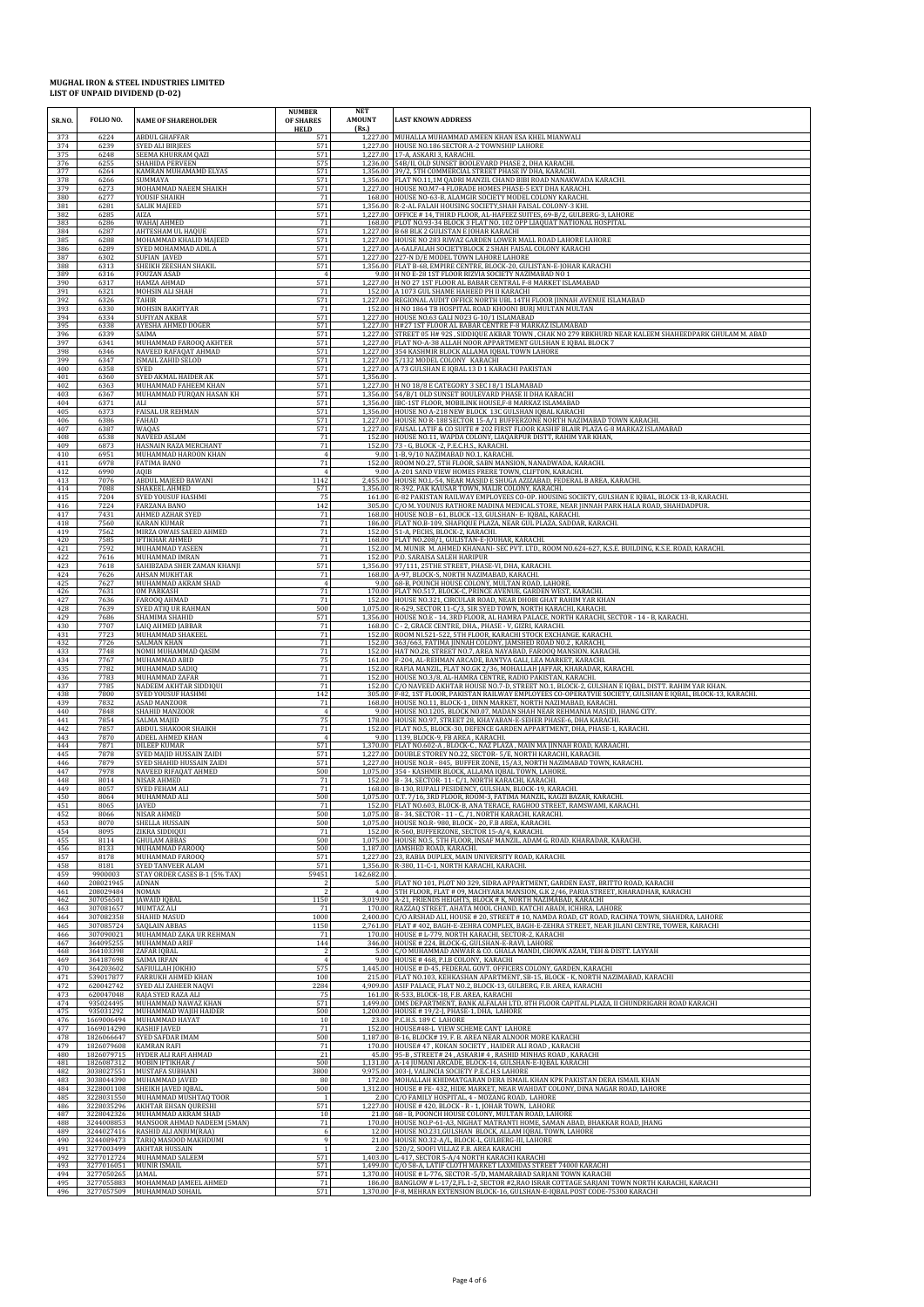| SR.NO.<br>373     | FOLIO NO.<br>6224        | <b>NAME OF SHAREHOLDER</b><br><b>ABDUL GHAFFAR</b> | <b>NUMBER</b><br>OF SHARES<br><b>HELD</b><br>571 | <b>NET</b><br><b>AMOUNT</b><br>(Rs.) | <b>LAST KNOWN ADDRESS</b><br>1,227.00 MUHALLA MUHAMMAD AMEEN KHAN ESA KHEL MIANWALI                                                                                                                                     |
|-------------------|--------------------------|----------------------------------------------------|--------------------------------------------------|--------------------------------------|-------------------------------------------------------------------------------------------------------------------------------------------------------------------------------------------------------------------------|
| 374               | 6239                     | <b>SYED ALI BIRJEES</b>                            | 571                                              |                                      | 1,227.00 HOUSE NO.186 SECTOR A-2 TOWNSHIP LAHORE                                                                                                                                                                        |
| 375               | 6248                     | SEEMA KHURRAM QAZI                                 | 571                                              |                                      | 1,227.00 17-A, ASKARI 3, KARACHI.                                                                                                                                                                                       |
| 376               | 6255                     | SHAHIDA PERVEEN                                    | 575                                              |                                      | 1,236.00 54B/II, OLD SUNSET BOOLEVARD PHASE 2, DHA KARACHI.                                                                                                                                                             |
| 377               | 6264                     | KAMRAN MUHAMAMD ELYAS                              | 571                                              |                                      | 1,356.00 39/2, 5TH COMMERCIAL STREET PHASE IV DHA, KARACHI                                                                                                                                                              |
| 378               | 6266                     | SUMMAYA                                            | 571                                              |                                      | 1,356.00 FLAT NO.11,1M QADRI MANZIL CHAND BIBI ROAD NANAKWADA KARACHI.                                                                                                                                                  |
| 379               | 6273                     | MOHAMMAD NAEEM SHAIKH                              | 571                                              |                                      | 1,227.00 HOUSE NO.M7-4 FLORADE HOMES PHASE-5 EXT DHA KARACHI.                                                                                                                                                           |
| 380               | 6277                     | YOUSIF SHAIKH                                      | 71                                               |                                      | 168.00 HOUSE NO-63-B. ALAMGIR SOCIETY MODEL COLONY KARACHI.                                                                                                                                                             |
| 381               | 6281                     | SALIK MAJEED                                       | 571                                              |                                      | 1,356.00 R-2-AL FALAH HOUSING SOCIETY, SHAH FAISAL COLONY-3 KHI.                                                                                                                                                        |
| 382               | 6285                     | AIZA                                               | 571                                              |                                      | 1,227.00 OFFICE #14, THIRD FLOOR, AL-HAFEEZ SUITES, 69-B/2, GULBERG-3, LAHORE                                                                                                                                           |
| 383               | 6286                     | WAHAJ AHMED                                        | 71                                               |                                      | 168.00 PLOT NO.93-34 BLOCK 3 FLAT NO. 102 OPP LIAQUAT NATIONAL HOSPITAL                                                                                                                                                 |
| 384               | 6287                     | AHTESHAM UL HAQUE                                  | 571                                              |                                      | 1,227.00 B 68 BLK 2 GULISTAN E JOHAR KARACHI                                                                                                                                                                            |
| 385               | 6288                     | MOHAMMAD KHALID MAJEED                             | 571                                              |                                      | 1,227.00 HOUSE NO 283 RIWAZ GARDEN LOWER MALL ROAD LAHORE LAHORE                                                                                                                                                        |
| 386               | 6289                     | SYED MOHAMMAD ADIL A                               | 571                                              |                                      | 1,227.00 A-6ALFALAH SOCIETYBLOCK 2 SHAH FAISAL COLONY KARACHI                                                                                                                                                           |
| 387               | 6302                     | <b>SUFIAN JAVED</b>                                | 571                                              |                                      | 1,227.00 227-N D/E MODEL TOWN LAHORE LAHORE                                                                                                                                                                             |
| 388               | 6313                     | SHEIKH ZEESHAN SHAKIL                              | 571                                              |                                      | 1,356.00 FLAT B-68, EMPIRE CENTRE, BLOCK-20, GULISTAN-E-JOHAR KARACHI                                                                                                                                                   |
| 389               | 6316                     | <b>FOUZAN ASAD</b>                                 | $\overline{4}$                                   |                                      | 9.00 H NO E-28 1ST FLOOR RIZVIA SOCIETY NAZIMABAD NO 1                                                                                                                                                                  |
| 390               | 6317                     | HAMZA AHMAD                                        | 571                                              |                                      | 1,227.00 H NO 27 1ST FLOOR AL BABAR CENTRAL F-8 MARKET ISLAMABAD                                                                                                                                                        |
| 391               | 6321                     | MOHSIN ALI SHAH                                    | 71                                               |                                      | 152.00 A 1073 GUL SHAME HAHEED PH II KARACHI                                                                                                                                                                            |
| 392               | 6326                     | TAHIR                                              | 571                                              |                                      | 1,227.00 REGIONAL AUDIT OFFICE NORTH UBL 14TH FLOOR JINNAH AVENUE ISLAMABAD                                                                                                                                             |
| 393               | 6330                     | <b>MOHSIN BAKHTYAR</b>                             | 71                                               |                                      | 152.00 H NO 1864 TB HOSPITAL ROAD KHOONI BURJ MULTAN MULTAN                                                                                                                                                             |
| 394               | 6334                     | <b>SUFIYAN AKBAR</b>                               | 571                                              |                                      | 1,227.00 HOUSE NO.63 GALI NO23 G-10/1 ISLAMABAD                                                                                                                                                                         |
| 395               | 6338                     | AYESHA AHMED DOGER                                 | 571                                              |                                      | 1,227.00 H#27 1ST FLOOR AL BABAR CENTRE F-8 MARKAZ ISLAMABAD                                                                                                                                                            |
| 396               | 6339                     | SAIMA                                              | 571                                              |                                      | 1,227.00 STREET 05 H# 92S, SIDDIQUE AKBAR TOWN, CHAK NO 279 RBKHURD NEAR KALEEM SHAHEEDPARK GHULAM M. ABAD                                                                                                              |
| 397               | 6341                     | MUHAMMAD FAROOQ AKHTER                             | 571                                              |                                      | 1,227.00 FLAT NO-A-38 ALLAH NOOR APPARTMENT GULSHAN E IQBAL BLOCK 7                                                                                                                                                     |
| 398               | 6346                     | NAVEED RAFAQAT AHMAD                               | 571                                              |                                      | 1,227.00 354 KASHMIR BLOCK ALLAMA IQBAL TOWN LAHORE                                                                                                                                                                     |
| 399               | 6347                     | ISMAIL ZAHID SELOD                                 | 571                                              |                                      | 1,227.00 5/132 MODEL COLONY KARACHI                                                                                                                                                                                     |
| 400<br>401        | 6358<br>6360             | <b>SYED</b><br>SYED AKMAL HAIDER AK                | 571<br>571                                       | 1.356.00                             | 1,227.00 A 73 GULSHAN E IQBAL 13 D 1 KARACHI PAKISTAN                                                                                                                                                                   |
| 402               | 6363                     | MUHAMMAD FAHEEM KHAN                               | 571                                              |                                      | 1,227.00 H NO 18/8 E CATEGORY 3 SEC I 8/1 ISLAMABAD                                                                                                                                                                     |
| 403               | 6367                     | MUHAMMAD FURQAN HASAN KH                           | 571                                              |                                      | 1,356.00 54/B/1 OLD SUNSET BOULEVARD PHASE II DHA KARACHI                                                                                                                                                               |
| 404               | 6371                     | ALI                                                | 571                                              |                                      | 1,356.00 IBC-1ST FLOOR, MOBILINK HOUSE,F-8 MARKAZ ISLAMABAD                                                                                                                                                             |
| 405               | 6373                     | <b>FAISAL UR REHMAN</b>                            | 571                                              |                                      | 1,356.00 HOUSE NO A-218 NEW BLOCK 13C GULSHAN IQBAL KARACHI                                                                                                                                                             |
| 406               | 6386                     | FAHAD                                              | 571                                              |                                      | 1,227.00 HOUSE NO R-188 SECTOR 15-A/1 BUFFERZONE NORTH NAZIMABAD TOWN KARACHI.                                                                                                                                          |
| 407               | 6387                     | WAQAS                                              | 571                                              |                                      | 1,227.00 FAISAL LATIF & CO SUITE # 202 FIRST FLOOR KASHIF BLAIR PLAZA G-8 MARKAZ ISLAMABAD                                                                                                                              |
| 408               | 6538                     | NAVEED ASLAM                                       | 71                                               |                                      | 152.00 HOUSE NO.11, WAPDA COLONY, LIAQARPUR DISTT, RAHIM YAR KHAN                                                                                                                                                       |
| 409               | 6873                     | HASNAIN RAZA MERCHANT                              | 71                                               |                                      | 152.00 73 - G, BLOCK - 2, P.E.C.H.S., KARACHI.                                                                                                                                                                          |
| 410               | 6951                     | MUHAMMAD HAROON KHAN                               | $\overline{4}$                                   |                                      | 9.00 1-B, 9/10 NAZIMABAD NO.1, KARACHI.                                                                                                                                                                                 |
| 411               | 6978                     | FATIMA BANO                                        | 71                                               |                                      | 152.00 ROOM NO.27, 5TH FLOOR, SABN MANSION, NANADWADA, KARACHI.                                                                                                                                                         |
| 412<br>413        | 6990<br>7076             | AQIB<br>ABDUL MAJEED BAWANI                        | 1142                                             |                                      | 9.00 A-201 SAND VIEW HOMES FRERE TOWN, CLIFTON, KARACHI.<br>2,455.00 HOUSE NO.L-54, NEAR MASJID E SHUGA AZIZABAD, FEDERAL B AREA, KARACHI                                                                               |
| 414               | 7088                     | SHAKEEL AHMED                                      | 571                                              |                                      | 1,356.00 R-392, PAK KAUSAR TOWN, MALIR COLONY, KARACHI.                                                                                                                                                                 |
| 415               | 7204                     | SYED YOUSUF HASHMI                                 | 75                                               |                                      | 161.00 E-82 PAKISTAN RAILWAY EMPLOYEES CO-OP, HOUSING SOCIETY, GULSHAN E IOBAL, BLOCK 13-B, KARACHI,                                                                                                                    |
| 416               | 7224                     | FARZANA BANO                                       | 142                                              |                                      | 305.00 C/O M. YOUNUS RATHORE MADINA MEDICAL STORE, NEAR JINNAH PARK HALA ROAD, SHAHDADPUR.                                                                                                                              |
| 417               | 7431                     | AHMED AZHAR SYED                                   | 71                                               |                                      | 168.00 HOUSE NO.B - 61, BLOCK -13, GULSHAN- E- IQBAL, KARACHI.                                                                                                                                                          |
| 418               | 7560                     | <b>KARAN KUMAR</b>                                 | 71                                               |                                      | 186.00 FLAT NO.B-109, SHAFIQUE PLAZA, NEAR GUL PLAZA, SADDAR, KARACHI.                                                                                                                                                  |
| 419               | 7562                     | MIRZA OWAIS SAEED AHMED                            | $71\,$                                           |                                      | 152.00 51-A, PECHS, BLOCK-2, KARACHI.                                                                                                                                                                                   |
| 420               | 7585                     | <b>IFTIKHAR AHMED</b>                              | 71                                               |                                      | 168.00 FLAT NO.208/1, GULISTAN-E-JOUHAR, KARACHI.                                                                                                                                                                       |
| 421               | 7592                     | MUHAMMAD YASEEN                                    | 71                                               |                                      | 152.00 M, MUNIR M, AHMED KHANANI- SEC PVT, LTD., ROOM NO.624-627, K.S.E. BUILDING, K.S.E. ROAD, KARACHI,                                                                                                                |
| 422               | 7616                     | MUHAMMAD IMRAN                                     | 71                                               |                                      | 152.00 P.O. SARAISA SALEH HARIPUR                                                                                                                                                                                       |
| 423               | 7618                     | SAHIBZADA SHER ZAMAN KHANJI                        | 571                                              |                                      | 1,356.00 97/111, 25THE STREET, PHASE-VI, DHA, KARACHI.                                                                                                                                                                  |
| 424               | 7626                     | AHSAN MUKHTAR                                      | 71                                               |                                      | 168.00 A-97, BLOCK-S, NORTH NAZIMABAD, KARACHI.                                                                                                                                                                         |
| 425               | 7627                     | MUHAMMAD AKRAM SHAD                                | $\overline{4}$                                   |                                      | 9.00 68-B, POUNCH HOUSE COLONY, MULTAN ROAD, LAHORE                                                                                                                                                                     |
| 426               | 7631                     | OM PARKASH                                         | 71                                               |                                      | 170.00 FLAT NO.517, BLOCK-C, PRINCE AVENUE, GARDEN WEST, KARACHI                                                                                                                                                        |
| 427               | 7636                     | FAROOQ AHMAD                                       | 71                                               |                                      | 152.00 HOUSE NO.321, CIRCULAR ROAD, NEAR DHOBI GHAT RAHIM YAR KHAN                                                                                                                                                      |
| 428               | 7639                     | SYED ATIQ UR RAHMAN                                | 500                                              |                                      | 1,075.00 R-629, SECTOR 11-C/3, SIR SYED TOWN, NORTH KARACHI, KARACHI.                                                                                                                                                   |
| 429               | 7686                     | SHAMIMA SHAHID                                     | 571                                              |                                      | 1,356.00 HOUSE NO.E - 14, 3RD FLOOR, AL HAMRA PALACE, NORTH KARACHI, SECTOR - 14 - B, KARACHI.                                                                                                                          |
| 430               | 7707                     | LAIQ AHMED JABBAR                                  | 71                                               |                                      | 168.00 C - 2, GRACE CENTRE, DHA., PHASE - V, GIZRI, KARACHI.                                                                                                                                                            |
| 431               | 7723                     | MUHAMMAD SHAKEEL                                   | 71                                               |                                      | 152.00 ROOM NL521-522, 5TH FLOOR, KARACHI STOCK EXCHANGE. KARACHI.                                                                                                                                                      |
| 432               | 7726                     | SALMAN KHAN                                        | 71                                               |                                      | 152.00 363/663, FATIMA JINNAH COLONY, JAMSHED ROAD NO.2, KARACHI,                                                                                                                                                       |
| 433               | 7748                     | NOMII MUHAMMAD QASIM                               | 71                                               |                                      | 152.00 HAT NO.28, STREET NO.7, AREA NAYABAD, FAROOQ MANSION. KARACHI                                                                                                                                                    |
| 434               | 7767                     | MUHAMMAD ABID                                      | 75                                               |                                      | 161.00 F-204, AL-REHMAN ARCADE, BANTVA GALI, LEA MARKET, KARACHI.                                                                                                                                                       |
| 435               | 7782                     | MUHAMMAD SADIQ                                     | 71                                               |                                      | 152.00 RAFIA MANZIL, FLAT NO.GK 2/36, MOHALLAH JAFFAR, KHARADAR, KARACHI.                                                                                                                                               |
| 436               | 7783                     | MUHAMMAD ZAFAR                                     | 71                                               |                                      | 152.00 HOUSE NO.3/8, AL-HAMRA CENTRE, RADIO PAKISTAN, KARACHI.                                                                                                                                                          |
| 437               | 7785                     | NADEEM AKHTAR SIDDIQUI                             | 71                                               |                                      | 152.00 C/O NAVEED AKHTAR HOUSE NO.7-D, STREET NO.1, BLOCK-2, GULSHAN E IQBAL, DISTT. RAHIM YAR KHAN.                                                                                                                    |
| 438               | 7800                     | SYED YOUSUF HASHMI                                 | 142                                              |                                      | 305.00 F-82, 1ST FLOOR, PAKISTAN RAILWAY EMPLOYEES CO-OPERATVIE SOCIETY, GULSHAN E IQBAL, BLOCK-13, KARACHI.                                                                                                            |
| 439               | 7832                     | <b>ASAD MANZOOR</b>                                | 71                                               |                                      | 168.00 HOUSE NO.11, BLOCK-1, DINN MARKET, NORTH NAZIMABAD, KARACHI.                                                                                                                                                     |
| 440               | 7848                     | SHAHID MANZOOR                                     | $\overline{4}$                                   |                                      | 9.00 HOUSE NO.1205, BLOCK NO.07, MADAN SHAH NEAR REHMANIA MASIID, IHANG CITY,                                                                                                                                           |
| 441               | 7854                     | SALMA MAJID                                        | 75                                               |                                      | 178.00 HOUSE NO.97, STREET 28, KHAYABAN-E-SEHER PHASE-6, DHA KARACHI.                                                                                                                                                   |
| 442               | 7857                     | ABDUL SHAKOOR SHAIKH                               | 71                                               |                                      | 152.00 FLAT NO.5, BLOCK-30, DEFENCE GARDEN APPARTMENT, DHA, PHASE-1, KARACHI.                                                                                                                                           |
| 443               | 7870                     | ADEEL AHMED KHAN                                   | $\overline{4}$                                   |                                      | 9.00 1139. BLOCK-9. FB AREA . KARACHI.                                                                                                                                                                                  |
| 444               | 7871                     | DILEEP KUMAR                                       | 571                                              |                                      | 1,370.00 FLAT NO.602-A , BLOCK-C , NAZ PLAZA , MAIN MA JINNAH ROAD, KARAACHI.                                                                                                                                           |
| 445               | 7878                     | SYED MAJID HUSSAIN ZAIDI                           | 571                                              |                                      | 1,227.00 DOUBLE STOREY NO.22, SECTOR- 5/E, NORTH KARACHI, KARACHI                                                                                                                                                       |
| 446               | 7879                     | SYED SHAHID HUSSAIN ZAIDI                          | 571                                              |                                      | 1,227.00 HOUSE NO.R - 845, BUFFER ZONE, 15/A3, NORTH NAZIMABAD TOWN, KARACHI.                                                                                                                                           |
| 447               | 7978                     | NAVEED RIFAQAT AHMED                               | 500                                              |                                      | 1,075.00 354 - KASHMIR BLOCK, ALLAMA IQBAL TOWN, LAHORE.                                                                                                                                                                |
| 448               | 8014                     | NISAR AHMED                                        | 71                                               |                                      | 152.00 B - 34, SECTOR-11-C/1, NORTH KARACHI, KARACHI.                                                                                                                                                                   |
| 449               | 8057                     | SYED FEHAM ALI                                     | 71                                               |                                      | 168.00 B-130, RUPALI PESIDENCY, GULSHAN, BLOCK-19, KARACHI.                                                                                                                                                             |
| 450               | 8064                     | MUHAMMAD ALI                                       | 500                                              |                                      | 1,075.00 O.T. 7/16, 3RD FLOOR, ROOM-3, FATIMA MANZIL, KAGZI BAZAR, KARACHI.                                                                                                                                             |
| 451               | 8065                     | JAVED                                              | 71                                               |                                      | 152.00 FLAT NO.603, BLOCK-B, ANA TERACE, RAGHOO STREET, RAMSWAMI, KARACHI.                                                                                                                                              |
| 452               | 8066                     | <b>NISAR AHMED</b>                                 | 500                                              |                                      | 1,075.00 B - 34, SECTOR - 11 - C, /1, NORTH KARACHI, KARACHI.                                                                                                                                                           |
| 453               | 8070                     | SHELLA HUSSAIN                                     | 500                                              |                                      | 1.075.00 HOUSE NO.R-980, BLOCK - 20, F.B AREA, KARACHI,                                                                                                                                                                 |
| 454               | 8095                     | ZIKRA SIDDIQUI                                     | 71                                               |                                      | 152.00 R-560, BUFFERZONE, SECTOR 15-A/4, KARACHI.                                                                                                                                                                       |
| 455               | 8114                     | <b>GHULAM ABBAS</b>                                | 500                                              |                                      | 1,075.00 HOUSE NO.5, 5TH FLOOR, INSAF MANZIL, ADAM G. ROAD, KHARADAR, KARACHI.                                                                                                                                          |
| 456               | 8133                     | MUHAMMAD FAROOQ                                    | 500                                              |                                      | 1,187.00 JAMSHED ROAD, KARACHI.                                                                                                                                                                                         |
| 457               | 8178                     | MUHAMMAD FAROOQ                                    | 571                                              |                                      | 1,227.00 23, RABIA DUPLEX, MAIN UNIVERSITY ROAD, KARACHI.                                                                                                                                                               |
| 458<br>459        | 8181<br>9900003          | SYED TANVEER ALAM<br>STAY ORDER CASES B-1 (5% TAX) | 571<br>59451                                     | 142,682.00                           | 1,356.00 R-380, 11-C-1, NORTH KARACHI, KARACHI.                                                                                                                                                                         |
| 460<br>461        | 208021945<br>208029484   | ADNAN<br><b>NOMAN</b>                              |                                                  |                                      | 5.00 FLAT NO 101, PLOT NO 329, SIDRA APPARTMENT, GARDEN EAST, BRITTO ROAD, KARACHI<br>4.00 STH FLOOR, FLAT # 09, MACHYARA MANSION, G.K 2/46, PARIA STREET, KHARADHAR, KARACHI                                           |
| 462               | 307056501                | <b>JAWAID JOBAL</b>                                | 1150                                             |                                      | 3,019.00 A-21, FRIENDS HEIGHTS, BLOCK # K, NORTH NAZIMABAD, KARACHI                                                                                                                                                     |
| 463               | 307081657                | MUMTAZ ALI                                         | 71                                               |                                      | 170.00 RAZZAQ STREET, AHATA MOOL CHAND, KATCHI ABADI, ICHHRA, LAHORE                                                                                                                                                    |
| 464               | 307082358                | SHAHID MASUD                                       | 1000                                             |                                      | 2,400.00 C/O ARSHAD ALI, HOUSE # 20, STREET # 10, NAMDA ROAD, GT ROAD, RACHNA TOWN, SHAHDRA, LAHORE                                                                                                                     |
| 465               | 307085724                | SAQLAIN ABBAS                                      | 1150                                             |                                      | 2,761.00 FLAT # 402, BAGH-E-ZEHRA COMPLEX, BAGH-E-ZEHRA STREET, NEAR JILANI CENTRE, TOWER, KARACHI                                                                                                                      |
| 466               | 307090021                | MUHAMMAD ZAKA UR REHMAN                            | 71                                               |                                      | 170.00 HOUSE # L-779, NORTH KARACHI, SECTOR-2, KARACHI                                                                                                                                                                  |
| 467               | 364095255                | MUHAMMAD ARIF                                      | 144                                              |                                      | 346.00 HOUSE # 224, BLOCK-G, GULSHAN-E-RAVI, LAHORE                                                                                                                                                                     |
| 468<br>469        | 364103398<br>364187698   | ZAFAR IOBAL<br>SAIMA IRFAN                         | $\overline{A}$                                   |                                      | 5.00 C/O MUHAMMAD ANWAR & CO. GHALA MANDI, CHOWK AZAM, TEH & DISTT. LAYYAH<br>9.00 HOUSE #468, P.I.B COLONY, KARACHI                                                                                                    |
| 470<br>471<br>472 | 364203602<br>539017877   | SAFIULLAH JOKHIO<br>FARRUKH AHMED KHAN             | 575<br>100                                       |                                      | 1,445.00 HOUSE # D-45, FEDERAL GOVT. OFFICERS COLONY, GARDEN, KARACHI<br>215.00 FLAT NO.103, KEHKASHAN APARTMENT, SB-15, BLOCK - K, NORTH NAZIMABAD, KARACHI                                                            |
| 473               | 620042742<br>620047048   | SYED ALI ZAHEER NAQVI<br>RAJA SYED RAZA ALI        | 2284<br>75<br>571                                |                                      | 4,909.00 ASIF PALACE, FLAT NO.2, BLOCK-13, GULBERG, F.B. AREA, KARACHI<br>161.00 R-533, BLOCK-18, F.B. AREA, KARACHI<br>1,499.00 DMS DEPARTMENT, BANK ALFALAH LTD, 8TH FLOOR CAPITAL PLAZA, II CHUNDRIGARH ROAD KARACHI |
| 474<br>475        | 935024495<br>935031292   | MUHAMMAD NAWAZ KHAN<br>MUHAMMAD WAJIH HAIDER       | 500                                              |                                      | 1,200.00 HOUSE #19/2-J, PHASE-1, DHA, LAHORE                                                                                                                                                                            |
| 476               | 1669006494               | MUHAMMAD HAYAT                                     | 10                                               |                                      | 23.00 P.C.H.S. 189 C LAHORE                                                                                                                                                                                             |
| 477               | 1669014290               | <b>KASHIF JAVED</b>                                | 71                                               |                                      | 152.00 HOUSE#48-L VIEW SCHEME CANT LAHORE                                                                                                                                                                               |
| 478               | 1826066647               | SYED SAFDAR IMAM                                   | 500                                              |                                      | 1,187.00 B-16, BLOCK# 19, F. B. AREA NEAR ALNOOR MORE KARACHI                                                                                                                                                           |
| 479               | 1826079608               | <b>KAMRAN RAFI</b>                                 | 71                                               |                                      | 170.00 HOUSE# 47, KOKAN SOCIETY, HAIDER ALI ROAD, KARACHI                                                                                                                                                               |
| 480               | 1826079715               | HYDER ALI RAFI AHMAD                               | 21                                               |                                      | 45.00 95-B, STREET# 24, ASKARI# 4, RASHID MINHAS ROAD, KARACHI                                                                                                                                                          |
| 481<br>482        | 1826087312<br>3038027551 | MOBIN IFTIKHAR /<br>MUSTAFA SUBHANI                | 500<br>3800                                      |                                      | 1,131.00 A-14 JUMANI ARCADE, BLOCK-14, GULSHAN-E-IQBAL KARACHI                                                                                                                                                          |
| 483<br>484        | 3038044390<br>3228001108 | MUHAMMAD JAVED<br>SHEIKH JAVED IQBAL               | 80<br>500                                        |                                      | 9,975.00 303-J, VALINCIA SOCIETY P.E.C.H.S LAHORE<br>172.00 MOHALLAH KHIDMATGARAN DERA ISMAIL KHAN KPK PAKISTAN DERA ISMAIL KHAN<br>1,312.00 HOUSE # FE- 432, HIDE MARKET, NEAR WAHDAT COLONY, DINA NAGAR ROAD, LAHORE  |
| 485<br>486        | 3228031550<br>3228035296 | MUHAMMAD MUSHTAQ TOOR<br>AKHTAR EHSAN QURESHI      | 571                                              |                                      | 2.00 C/O FAMILY HOSPITAL, 4 - MOZANG ROAD, LAHORE<br>1,227.00 HOUSE #420, BLOCK - R - 1, JOHAR TOWN, LAHORE                                                                                                             |
| 487               | 3228042326               | MUHAMMAD AKRAM SHAD                                | 10                                               |                                      | 21.00 68 - B, POONCH HOUSE COLONY, MULTAN ROAD, LAHORE                                                                                                                                                                  |
| 488               | 3244008853               | MANSOOR AHMAD NADEEM (5MAN)                        | 71                                               |                                      | 170.00 HOUSE NO.P-61-A3, NIGHAT MATRANTI HOME, SAMAN ABAD, BHAKKAR ROAD, JHANG                                                                                                                                          |
| 489<br>490        | 3244027416<br>3244089473 | RASHID ALI ANJUM(RAA)<br>TARIQ MASOOD MAKHDUMI     | $\epsilon$                                       |                                      | 12.00 HOUSE NO.231, GULSHAN BLOCK, ALLAM IQBAL TOWN, LAHORE<br>21.00 HOUSE NO.32-A/L, BLOCK-L, GULBERG-III, LAHORE                                                                                                      |
| 491               | 3277003499               | <b>AKHTAR HUSSAIN</b>                              | $\overline{1}$                                   |                                      | 2.00 520/2, SOOFI VILLAZ F.B. AREA KARACHI                                                                                                                                                                              |
| 492               | 3277012724               | MUHAMMAD SALEEM                                    | 571                                              |                                      | 1,403.00 L-417, SECTOR 5-A/4 NORTH KARACHI KARACHI                                                                                                                                                                      |
| 493               | 3277016051               | MUNIR ISMAIL                                       | 571                                              |                                      | 1,499.00 C/O 58-A, LATIF CLOTH MARKET LAXMIDAS STREET 74000 KARACHI                                                                                                                                                     |
| 494               | 3277050265               | JAMAL                                              | 571                                              |                                      | 1,370.00 HOUSE # L-776, SECTOR - 5/D, MAMARABAD SARJANI TOWN KARACHI                                                                                                                                                    |
| 495               | 3277055883               | MOHAMMAD JAMEEL AHMED                              | 71                                               |                                      | 186.00 BANGLOW # L-17/2, FL1-2, SECTOR #2, RAO ISRAR COTTAGE SARJANI TOWN NORTH KARACHI, KARACHI                                                                                                                        |
| 496               | 3277057509               | MUHAMMAD SOHAIL                                    | 571                                              |                                      | 1,370.00 F-8, MEHRAN EXTENSION BLOCK-16, GULSHAN-E-IQBAL POST CODE-75300 KARACHI                                                                                                                                        |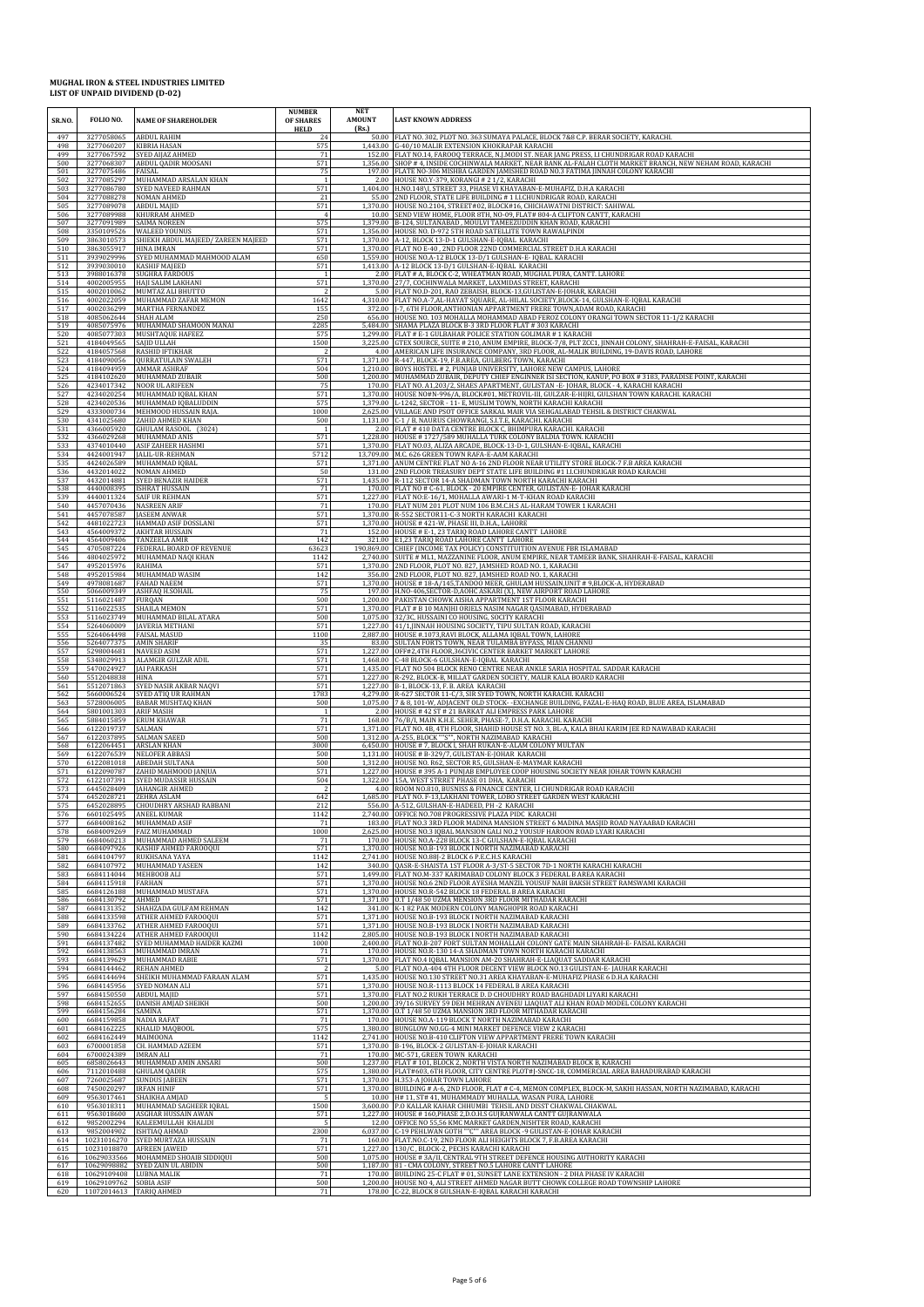| SR.NO.<br>497     | FOLIO NO.<br>3277058065                | <b>NAME OF SHAREHOLDER</b><br><b>ABDUL RAHIM</b>                     | <b>NUMBER</b><br><b>OF SHARES</b><br><b>HELD</b><br>24 | <b>NET</b><br><b>AMOUNT</b><br>(Rs.) | <b>LAST KNOWN ADDRESS</b><br>50.00 FLAT NO. 302, PLOT NO. 363 SUMAYA PALACE, BLOCK 7&8 C.P. BERAR SOCIETY, KARACHI.                                                                                         |
|-------------------|----------------------------------------|----------------------------------------------------------------------|--------------------------------------------------------|--------------------------------------|-------------------------------------------------------------------------------------------------------------------------------------------------------------------------------------------------------------|
| 498               | 3277060207                             | <b>KIBRIA HASAN</b>                                                  | 575                                                    |                                      | 1.443.00 G-40/10 MALIR EXTENSION KHOKRAPAR KARACHI                                                                                                                                                          |
| 499               | 3277067592                             | SYED AIJAZ AHMED                                                     | 71                                                     |                                      | 152.00 FLAT NO.14, FAROOQ TERRACE, N.J.MODI ST. NEAR JANG PRESS, LI CHUNDRIGAR ROAD KARACHI                                                                                                                 |
| 500               | 3277068307                             | ABDUL QADIR MOOSANI                                                  | 571                                                    |                                      | 1,356.00 SHOP # 4, INSIDE COCHINWALA MARKET, NEAR BANK AL-FALAH CLOTH MARKET BRANCH, NEW NEHAM ROAD, KARACHI                                                                                                |
| 501               | 3277075486                             | FAISAL                                                               | 75                                                     |                                      | 197.00 FLATE NO-306 MISHBA GARDEN JAMISHED ROAD NO.3 FATIMA JINNAH COLONY KARACHI                                                                                                                           |
| 502               | 3277085297                             | MUHAMMAD ARSALAN KHAN                                                | $\overline{1}$                                         |                                      | 2.00 HOUSE NO.Y-379, KORANGI # 2 1/2, KARACHI                                                                                                                                                               |
| 503               | 3277086780                             | SYED NAVEED RAHMAN                                                   | 571                                                    |                                      | 1,404.00 H.NO.148\I, STREET 33, PHASE VI KHAYABAN-E-MUHAFIZ, D.H.A KARACHI                                                                                                                                  |
| 504               | 3277088278                             | NOMAN AHMED                                                          | 21                                                     | 55.00                                | 2ND FLOOR, STATE LIFE BUILDING #1 I.I.CHUNDRIGAR ROAD, KARACHI                                                                                                                                              |
| 505               | 3277089078                             | ABDUL MAJID                                                          | 571                                                    |                                      | 1,370.00 HOUSE NO.2104, STREET#02, BLOCK#16, CHICHAWATNI DISTRICT: SAHIWAL                                                                                                                                  |
| 506<br>507        | 3277089988<br>3277091989               | KHURRAM AHMED<br><b>SAIMA NOREEN</b>                                 | 575                                                    | 10.00                                | SEND VIEW HOME, FLOOR 8TH, NO-09, FLAT# 804-A CLIFTON CANTT, KARACHI<br>1,379.00 B-124, SULTANABAD, MOULVI TAMEEZUDDIN KHAN ROAD, KARACHI                                                                   |
| 508               | 3350109526                             | <b>WALEED YOUNUS</b>                                                 | 571                                                    |                                      | 1,356.00 HOUSE NO. D-972 5TH ROAD SATELLITE TOWN RAWALPINDI                                                                                                                                                 |
| 509               | 3863010573                             | SHIEKH ABDUL MAJEED/ZAREEN MAJEED                                    | 571                                                    |                                      | 1,370.00 A-12, BLOCK 13-D-1 GULSHAN-E-IQBAL KARACHI                                                                                                                                                         |
| 510               | 3863055917                             | <b>HINA IMRAN</b>                                                    | 571                                                    |                                      | 1,370.00 FLAT NO E-40 , 2ND FLOOR 22ND COMMERCIAL STREET D.H.A KARACHI                                                                                                                                      |
| 511               | 3939029996                             | SYED MUHAMMAD MAHMOOD ALAM                                           | 650                                                    |                                      | 1,559.00 HOUSE NO.A-12 BLOCK 13-D/1 GULSHAN-E- IQBAL. KARACHI                                                                                                                                               |
| 512               | 3939030010                             | <b>KASHIF MAJEED</b>                                                 | 571                                                    | 1.413.00                             | A-12 BLOCK 13-D/1 GULSHAN-E-IQBAL KARACHI                                                                                                                                                                   |
| 513               | 3988016378                             | <b>SUGHRA FARDOUS</b>                                                | $\overline{1}$                                         |                                      | 2.00 FLAT # A, BLOCK C-2, WHEATMAN ROAD, MUGHAL PURA, CANTT. LAHORE                                                                                                                                         |
| 514<br>515        | 4002005955<br>4002010062               | <b>HAII SALIM LAKHANI</b><br>MUMTAZ ALI BHUTTO                       | 571                                                    | 1,370.00                             | 27/7. COCHINWALA MARKET. LAXMIDAS STREET. KARACHI<br>5.00 FLAT NO.D-201, RAO ZEBAISH, BLOCK-13, GULISTAN-E-JOHAR, KARACHI                                                                                   |
| 516               | 4002022059                             | MUHAMMAD ZAFAR MEMON                                                 | 1642                                                   | 372.00                               | 4,310.00 FLAT NO.A-7,AL-HAYAT SQUARE, AL-HILAL SOCIETY,BLOCK-14, GULSHAN-E-IQBAL KARACHI                                                                                                                    |
| 517               | 4002036299                             | MARTHA FERNANDEZ                                                     | 155                                                    |                                      | J-7, 6TH FLOOR, ANTHONIAN APPARTMENT FRERE TOWN, ADAM ROAD, KARACHI                                                                                                                                         |
| 518               | 4085062644                             | SHAH ALAM                                                            | 250                                                    |                                      | 656.00 HOUSE NO. 103 MOHALLA MOHAMMAD ABAD FEROZ COLONY ORANGI TOWN SECTOR 11-1/2 KARACHI                                                                                                                   |
| 519               | 4085075976                             | MUHAMMAD SHAMOON MANAI                                               | 2285                                                   |                                      | 5,484.00 SHAMA PLAZA BLOCK B-3 3RD FLOOR FLAT # 303 KARACHI                                                                                                                                                 |
| 520               | 4085077303                             | MUSHTAQUE HAFEEZ                                                     | 575                                                    |                                      | 1,299.00 FLAT # E-1 GULBAHAR POLICE STATION GOLIMAR # 1 KARACHI                                                                                                                                             |
| 521               | 4184049565                             | SAJID ULLAH                                                          | 1500                                                   |                                      | 3,225.00 GTEX SOURCE, SUITE # 210, ANUM EMPIRE, BLOCK-7/8, PLT ZCC1, JINNAH COLONY, SHAHRAH-E-FAISAL, KARACHI                                                                                               |
| 522<br>523        | 4184057568<br>4184090056               | RASHID IFTIKHAR<br><b>QURRATULAIN SWALEH</b>                         | 571                                                    |                                      | 4.00 AMERICAN LIFE INSURANCE COMPANY, 3RD FLOOR, AL-MALIK BUILDING, 19-DAVIS ROAD, LAHORE<br>1,371.00 R-447, BLOCK-19, F.B.AREA, GULBERG TOWN, KARACHI                                                      |
| 524               | 4184094959                             | AMMAR ASHRAF                                                         | 504                                                    |                                      | 1,210.00 BOYS HOSTEL # 2, PUNJAB UNIVERSITY, LAHORE NEW CAMPUS, LAHORE                                                                                                                                      |
| 525               | 4184102620                             | MUHAMMAD ZUBAIR                                                      | 500                                                    |                                      | 1,200.00 MUHAMMAD ZUBAIR, DEPUTY CHIEF ENGINNER ISI SECTION, KANUP, PO BOX # 3183, PARADISE POINT, KARACHI                                                                                                  |
| 526               | 4234017342                             | NOOR UL ARIFEEN                                                      | 75                                                     |                                      | 170.00 FLAT NO. A1,203/2, SHAES APARTMENT, GULISTAN - E-JOHAR, BLOCK - 4, KARACHI KARACHI                                                                                                                   |
| 527               | 4234020254                             | MUHAMMAD IQBAL KHAN                                                  | 571                                                    |                                      | 1,370.00 HOUSE NO#N-996/A, BLOCK#01, METROVIL-III, GULZAR-E-HIJRI, GULSHAN TOWN KARACHI. KARACHI                                                                                                            |
| 528               | 4234020536                             | MUHAMMAD IQBALUDDIN                                                  | 575                                                    |                                      | 1,379.00 L-1242, SECTOR - 11- E, MUSLIM TOWN, NORTH KARACHI KARACHI                                                                                                                                         |
| 529               | 4333000734                             | MEHMOOD HUSSAIN RAJA.                                                | 1000                                                   | 1,131.00                             | 2,625.00 VILLAGE AND PSOT OFFICE SARKAL MAIR VIA SEHGALABAD TEHSIL & DISTRICT CHAKWAL                                                                                                                       |
| 530               | 4341025680                             | ZAHID AHMED KHAN                                                     | 500                                                    |                                      | C-1 / B, NAURUS CHOWRANGI, S.I.T.E, KARACHI. KARACHI                                                                                                                                                        |
| 531<br>532        | 4366005920<br>4366029268               | GHULAM RASOOL (3024)<br>MUHAMMAD ANIS                                | 571                                                    |                                      | 2.00 FLAT #410 DATA CENTRE BLOCK C, BHIMPURA KARACHI. KARACHI<br>1,228.00 HOUSE #1727/589 MUHALLA TURK COLONY BALDIA TOWN. KARACHI                                                                          |
| 533               | 4374010440                             | <b>ASIF ZAHEER HASHMI</b>                                            | 571                                                    |                                      | 1.370.00 FLAT NO.03, ALIZA ARCADE, BLOCK-13-D-1, GULSHAN-E-JOBAL, KARACHI                                                                                                                                   |
| 534               | 4424001947                             | JALIL-UR-REHMAN                                                      | 5712                                                   |                                      | 13,709.00 M.C. 626 GREEN TOWN RAFA-E-AAM KARACHI                                                                                                                                                            |
| 535               | 4424026589                             | MUHAMMAD IQBAL                                                       | 571                                                    | 131.00                               | 1,371.00 ANUM CENTRE FLAT NO A-16 2ND FLOOR NEAR UTILITY STORE BLOCK-7 F.B AREA KARACHI                                                                                                                     |
| 536               | 4432014022                             | NOMAN AHMED                                                          | 50                                                     |                                      | 2ND FLOOR TREASURY DEPT STATE LIFE BUILDING #1 LLCHUNDRIGAR ROAD KARACHI                                                                                                                                    |
| 537               | 4432014881                             | SYED BENAZIR HAIDER                                                  | 571                                                    | 1.435.00                             | R-112 SECTOR 14-A SHADMAN TOWN NORTH KARACHI KARACHI                                                                                                                                                        |
| 538               | 4440008395                             | <b>ISHRAT HUSSAIN</b>                                                | 71                                                     |                                      | 170.00 FLAT NO # C-61, BLOCK - 20 EMPIRE CENTER, GULISTAN-E-JOHAR KARACHI                                                                                                                                   |
| 539               | 4440011324                             | SAIF UR REHMAN                                                       | 571                                                    |                                      | 1,227.00 FLAT NO:E-16/1, MOHALLA AWARI-1 M-T-KHAN ROAD KARACHI                                                                                                                                              |
| 540               | 4457070436                             | <b>NASREEN ARIF</b>                                                  | 71                                                     |                                      | 170.00 FLAT NUM 201 PLOT NUM 106 B.M.C.H.S AL-HARAM TOWER 1 KARACHI                                                                                                                                         |
| 541               | 4457078587                             | <b>JASEEM ANWAR</b>                                                  | 571                                                    |                                      | 1,370.00 R-552 SECTOR11-C-3 NORTH KARACHI KARACHI                                                                                                                                                           |
| 542               | 4481022723                             | HAMMAD ASIF DOSSLANI                                                 | 571                                                    |                                      | 1,370.00 HOUSE #421-W, PHASE III, D.H.A., LAHORE                                                                                                                                                            |
| 543               | 4564009372                             | AKHTAR HUSSAIN                                                       | 71                                                     | 152.00                               | HOUSE # E-1, 23 TARIQ ROAD LAHORE CANTT LAHORE                                                                                                                                                              |
| 544               | 4564009406                             | <b>TANZEELA AMIR</b>                                                 | 142                                                    |                                      | 321.00 E1,23 TARIQ ROAD LAHORE CANTT LAHORE                                                                                                                                                                 |
| 545               | 4705087224                             | FEDERAL BOARD OF REVENUE                                             | 63623                                                  |                                      | 190,869.00 CHIEF (INCOME TAX POLICY) CONSTITUITION AVENUE FBR ISLAMABAD                                                                                                                                     |
| 546               | 4804025972                             | MUHAMMAD NAQI KHAN                                                   | 1142                                                   |                                      | 2,740.00 SUITE # ML1, MAZZANINE FLOOR, ANUM EMPIRE, NEAR TAMEER BANK, SHAHRAH-E-FAISAL, KARACHI                                                                                                             |
| 547               | 4952015976                             | RAHIMA                                                               | 571                                                    | 356.00                               | 1,370.00 2ND FLOOR, PLOT NO. 827, JAMSHED ROAD NO. 1, KARACHI                                                                                                                                               |
| 548               | 4952015984                             | MUHAMMAD WASIM                                                       | 142                                                    |                                      | 2ND FLOOR, PLOT NO. 827, JAMSHED ROAD NO. 1, KARACHI                                                                                                                                                        |
| 549               | 4978081687                             | FAHAD NAEEM                                                          | 571                                                    |                                      | 1,370.00 HOUSE #18-A/145, TANDOO MEER, GHULAM HUSSAIN, UNIT #9, BLOCK-A, HYDERABAD                                                                                                                          |
| 550               | 5066009349                             | ASHFAQ H.SOHAIL                                                      | 75                                                     |                                      | 197.00 H.NO-406, SECTOR-D, AOHC ASKARI (X), NEW AIRPORT ROAD LAHORE                                                                                                                                         |
| 551               | 5116021487                             | <b>FURQAN</b>                                                        | 500                                                    |                                      | 1,200.00 PAKISTAN CHOWK AISHA APPARTMENT 1ST FLOOR KARACHI                                                                                                                                                  |
| 552               | 5116022535                             | SHAILA MEMON                                                         | 571                                                    |                                      | 1,370.00 FLAT # B 10 MANJHI ORIELS NASIM NAGAR QASIMABAD, HYDERABAD                                                                                                                                         |
| 553               | 5116023749                             | MUHAMMAD BILAL ATARA                                                 | 500                                                    |                                      | 1,075.00 32/3C, HUSSAINI CO HOUSING, SOCITY KARACHI                                                                                                                                                         |
| 554               | 5264060009                             | <b>JAVERIA METHANI</b>                                               | 571                                                    |                                      | 1,227.00 41/1,JINNAH HOUSING SOCIETY, TIPU SULTAN ROAD, KARACHI                                                                                                                                             |
| 555               | 5264064498                             | <b>FAISAL MASUD</b>                                                  | 1100                                                   | 83.00                                | 2,887.00 HOUSE #.1073, RAVI BLOCK, ALLAMA IQBAL TOWN, LAHORE                                                                                                                                                |
| 556               | 5264077375                             | AMIN SHARIF                                                          | 35                                                     |                                      | SULTAN FORTS TOWN, NEAR TULAMBA BYPASS, MIAN CHANNU                                                                                                                                                         |
| 557               | 5298004681                             | <b>NAVEED ASIM</b>                                                   | 571                                                    |                                      | 1,227.00 OFF#2,4TH FLOOR,36CIVIC CENTER BARKET MARKET LAHORE                                                                                                                                                |
| 558               | 5348029913                             | ALAMGIR GULZAR ADIL                                                  | 571                                                    |                                      | 1,468.00 C-48 BLOCK-6 GULSHAN-E-IQBAL KARACHI                                                                                                                                                               |
| 559               | 5470024927                             | <b>JAI PARKASH</b>                                                   | 571                                                    |                                      | 1,435.00 FLAT NO 504 BLOCK RENO CENTRE NEAR ANKLE SARIA HOSPITAL SADDAR KARACHI                                                                                                                             |
| 560               | 5512048838                             | HINA                                                                 | 571                                                    |                                      | 1,227.00 R-292, BLOCK-B, MILLAT GARDEN SOCIETY, MALIR KALA BOARD KARACHI                                                                                                                                    |
| 561               | 5512071863                             | SYED NASIR AKBAR NAQVI                                               | 571                                                    |                                      | 1,227.00 B-1, BLOCK-13, F. B. AREA KARACHI                                                                                                                                                                  |
| 562               | 5660006524                             | SYED ATIQ UR RAHMAN                                                  | 1783                                                   |                                      | 4,279.00 R-627 SECTOR 11-C/3, SIR SYED TOWN, NORTH KARACHI. KARACHI                                                                                                                                         |
| 563               | 5728006005                             | <b>BABAR MUSHTAQ KHAN</b>                                            | 500                                                    |                                      | 1,075.00 7 & 8,101-W, ADJACENT OLD STOCK--EXCHANGE BUILDING, FAZAL-E-HAQ ROAD, BLUE AREA, ISLAMABAD                                                                                                         |
| 564<br>565        | 5801001303<br>5884015859               | <b>ARIF MASIH</b><br><b>ERUM KHAWAR</b>                              | 71                                                     |                                      | 2.00 HOUSE #42 ST #21 BARKAT ALI EMPRESS PARK LAHORE<br>168.00 76/B/I, MAIN K.H.E. SEHER, PHASE-7, D.H.A. KARACHI. KARACHI                                                                                  |
| 566               | 6122019737                             | SALMAN                                                               | 571                                                    | 1.312.00                             | 1,371.00 FLAT NO. 4B, 4TH FLOOR, SHAHID HOUSE ST NO. 3, BL-A, KALA BHAI KARIM JEE RD NAWABAD KARACHI                                                                                                        |
| 567               | 6122037895                             | <b>SALMAN SAEED</b>                                                  | 500                                                    |                                      | A-255, BLOCK ""S"", NORTH NAZIMABAD KARACHI                                                                                                                                                                 |
| 568               | 6122064451                             | ARSLAN KHAN                                                          | 3000                                                   | 1.131.00                             | 6,450.00 HOUSE # 7, BLOCK I, SHAH RUKAN-E-ALAM COLONY MULTAN                                                                                                                                                |
| 569               | 6122076539                             | <b>NELOFER ABBAS</b>                                                 | 500                                                    |                                      | HOUSE # B-329/7, GULISTAN-E-JOHAR KARACHI                                                                                                                                                                   |
| 570               | 6122081018                             | <b>ABEDAH SULTANA</b>                                                | 500                                                    |                                      | 1,312.00 HOUSE NO. R62, SECTOR R5, GULSHAN-E-MAYMAR KARACHI                                                                                                                                                 |
| 571               | 6122090787                             | ZAHID MAHMOOD JANJUA                                                 | 571                                                    |                                      | 1,227.00 HOUSE #395 A-1 PUNJAB EMPLOYEE COOP HOUSING SOCIETY NEAR JOHAR TOWN KARACHI                                                                                                                        |
| 572<br>573        |                                        | 6122107391 SYED MUDASSIR HUSSAIN<br>6445028409 JAHANGIR AHMED        | 504<br>-2                                              |                                      | 1,322.00 15A, WEST STRRET PHASE 01 DHA, KARACHI<br>4.00 ROOM NO.810, BUSNISS & FINANCE CENTER, I.I CHUNDRIGAR ROAD KARACHI                                                                                  |
| 574               | 6452028721 ZEHRA ASLAM<br>6452028895   | <b>CHOUDHRY ARSHAD RABBANI</b>                                       | 642<br>212                                             | 556.00                               | 1,685.00 FLAT NO. F-13, LAKHANI TOWER, LOBO STREET GARDEN WEST KARACHI<br>A-512, GULSHAN-E-HADEED, PH -2 KARACHI                                                                                            |
| 576               | 6601025495                             | <b>ANEEL KUMAR</b>                                                   | 1142                                                   | 2.740.00                             | OFFICE NO.708 PROGRESSIVE PLAZA PIDC KARACHI                                                                                                                                                                |
| 577               | 6684008162                             | MUHAMMAD ASIF                                                        | 71                                                     | 183.00                               | FLAT NO.3 3RD FLOOR MADINA MANSION STREET 6 MADINA MASJID ROAD NAYAABAD KARACHI                                                                                                                             |
| 578               | 6684009269                             | FAIZ MUHAMMAD                                                        | 1000                                                   | 2,625.00                             | HOUSE NO.3 IQBAL MANSION GALI NO.2 YOUSUF HAROON ROAD LYARI KARACHI                                                                                                                                         |
| 579               | 6684060213                             | MUHAMMAD AHMED SALEEM                                                | 71                                                     | 170.00                               | HOUSE NO.A-228 BLOCK 13-C GULSHAN-E-IQBAL KARACHI                                                                                                                                                           |
| 580               | 6684097926                             | KASHIF AHMED FAROOOUI                                                | 571                                                    | 1370.00                              | HOUSE NO.B-193 BLOCK I NORTH NAZIMABAD KARACHI                                                                                                                                                              |
| 581               | 6684104797                             | RUKHSANA YAYA                                                        | 1142                                                   | 2.741.00                             | HOUSE NO.88J-2 BLOCK 6 P.E.C.H.S KARACHI                                                                                                                                                                    |
| 582               | 6684107972                             | MUHAMMAD YASEEN                                                      | 142                                                    | 340.00                               | QASR-E-SHAISTA 1ST FLOOR A-3/ST-5 SECTOR 7D-1 NORTH KARACHI KARACHI                                                                                                                                         |
| 583               | 6684114044                             | MEHBOOB ALI                                                          | 571                                                    | 149900                               | FLAT NO.M-337 KARIMABAD COLONY BLOCK 3 FEDERAL B AREA KARACHI                                                                                                                                               |
| 584               | 6684115918                             | <b>FARHAN</b>                                                        | 571                                                    |                                      | 1,370.00 HOUSE NO.6 2ND FLOOR AYESHA MANZIL YOUSUF NABI BAKSH STREET RAMSWAMI KARACHI                                                                                                                       |
| 585               | 6684126188                             | MUHAMMAD MUSTAFA                                                     | 571                                                    |                                      | 1,370.00 HOUSE NO.R-542 BLOCK 18 FEDERAL B AREA KARACHI                                                                                                                                                     |
| 586               | 6684130792                             | AHMED                                                                | 571                                                    | 1,371.00                             | O.T 1/48 50 UZMA MENSION 3RD FLOOR MITHADAR KARACHI                                                                                                                                                         |
| 587               | 6684131352                             | SHAHZADA GULFAM REHMAN                                               | 142                                                    | 341.00                               | K-1 82 PAK MODERN COLONY MANGHOPIR ROAD KARACHI                                                                                                                                                             |
| 588<br>589        | 6684133598<br>6684133762               | ATHER AHMED FAROOQUI<br>ATHER AHMED FAROOOUI<br>ATHER AHMED FAROOOUI | 571<br>571                                             |                                      | 1,371.00 HOUSE NO.B-193 BLOCK I NORTH NAZIMABAD KARACHI<br>1,371.00 HOUSE NO.B-193 BLOCK I NORTH NAZIMABAD KARACHI                                                                                          |
| 590<br>591        | 6684134224<br>6684137482               | SYED MUHAMMAD HAIDER KAZMI                                           | 1142<br>1000<br>71                                     | 170.00                               | 2,805.00 HOUSE NO.B-193 BLOCK I NORTH NAZIMABAD KARACHI<br>2,400.00 FLAT NO.B-207 FORT SULTAN MOHALLAH COLONY GATE MAIN SHAHRAH-E- FAISAL KARACHI<br>HOUSE NO.R-130 14-A SHADMAN TOWN NORTH KARACHI KARACHI |
| 592<br>593<br>594 | 6684138563<br>6684139629<br>6684144462 | MUHAMMAD IMRAN<br>MUHAMMAD RABIE<br><b>REHAN AHMED</b>               | 571                                                    | 5.00                                 | 1,370.00 FLAT NO.4 IQBAL MANSION AM-20 SHAHRAH-E-LIAQUAT SADDAR KARACHI<br>FLAT NO.A-404 4TH FLOOR DECENT VIEW BLOCK NO.13 GULISTAN-E-JAUHAR KARACHI                                                        |
| 595               | 6684144694                             | SHEIKH MUHAMMAD FARAAN ALAM                                          | 571                                                    | 1.435.00                             | HOUSE NO.130 STREET NO.31 AREA KHAYABAN-E-MUHAFIZ PHASE 6 D.H.A KARACHI                                                                                                                                     |
| 596               | 6684145956                             | SYED NOMAN ALI                                                       | 571                                                    |                                      | 1,370.00 HOUSE NO.R-1113 BLOCK 14 FEDERAL B AREA KARACHI                                                                                                                                                    |
| 597               | 6684150550                             | ABDUL MAJID                                                          | 571                                                    |                                      | 1,370.00 FLAT NO.2 RUKH TERRACE D. D CHOUDHRY ROAD BAGHDADI LIYARI KARACHI                                                                                                                                  |
| 598               | 6684152655                             | DANISH AMJAD SHEIKH                                                  | 500                                                    |                                      | 1,200.00 39/16 SURVEY 59 DEH MEHRAN AVENEU LIAQUAT ALI KHAN ROAD MODEL COLONY KARACHI                                                                                                                       |
| 599               | 6684156284                             | SAMINA                                                               | 571                                                    | 1.370.00                             | O.T 1/48 50 UZMA MANSION 3RD FLOOR MITHADAR KARACHI                                                                                                                                                         |
| 600               | 6684159858                             | <b>NADIA RAFAT</b>                                                   | 71                                                     | 170.00                               | HOUSE NO.A-119 BLOCK T NORTH NAZIMABAD KARACHI                                                                                                                                                              |
| 601               | 6684162225                             | KHALID MAQBOOL                                                       | 575                                                    | 1,380.00                             | BUNGLOW NO.GG-4 MINI MARKET DEFENCE VIEW 2 KARACHI                                                                                                                                                          |
| 602               | 6684162449                             | MAIMOONA                                                             | 1142                                                   | 2,741.00                             | HOUSE NO.B-410 CLIFTON VIEW APPARTMENT FRERE TOWN KARACHI                                                                                                                                                   |
| 603               | 6700001858                             | CH. HAMMAD AZEEM                                                     | 571                                                    | 170.00                               | 1,370.00 B-196, BLOCK-2 GULISTAN-E-JOHAR KARACHI                                                                                                                                                            |
| 604               | 6700024389                             | IMRAN ALI                                                            | 71                                                     |                                      | MC-571, GREEN TOWN KARACHI                                                                                                                                                                                  |
| 605               | 6858026643                             | MUHAMMAD AMIN ANSARI                                                 | 500                                                    | 1.237.00                             | FLAT # 101, BLOCK 2, NORTH VISTA NORTH NAZIMABAD BLOCK B, KARACHI                                                                                                                                           |
| 606               | 7112010488                             | <b>GHULAM QADIR</b>                                                  | 575                                                    | 1.380.00                             | FLAT#603, 6TH FLOOR, CITY CENTRE PLOT#J-SNCC-18, COMMERCIAL AREA BAHADURABAD KARACHI                                                                                                                        |
| 607               | 7260025687                             | <b>SUNDUS JABEEN</b>                                                 | 571                                                    | 1.370.00                             | 1,370.00 H.353-A JOHAR TOWN LAHORE                                                                                                                                                                          |
| 608               | 7450020297                             | <b>IRFAN HINIF</b>                                                   | 571                                                    |                                      | BUILDING # A-6, 2ND FLOOR, FLAT # C-4, MEMON COMPLEX, BLOCK-M, SAKHI HASSAN, NORTH NAZIMABAD, KARACHI                                                                                                       |
| 609               | 9563017461                             | SHAIKHA AMJAD                                                        | $\overline{\phantom{a}}$                               |                                      | 10.00 H# 11, ST# 41, MUHAMMADY MUHALLA, WASAN PURA, LAHORE                                                                                                                                                  |
| 610               | 9563018311                             | MUHAMMAD SAGHEER IQBAL                                               | 1500                                                   |                                      | 3,600.00 P.O KALLAR KAHAR CHHUMBI TEHSIL AND DISST CHAKWAL CHAKWAL                                                                                                                                          |
| 611               | 9563018600                             | ASGHAR HUSSAIN AWAN                                                  | 571                                                    | 1.227.00                             | HOUSE #160, PHASE 2, D.O.H.S GUJRANWALA CANTT GUJRANWALA                                                                                                                                                    |
| 612               | 9852002294                             | KALEEMULLAH KHALIDI                                                  |                                                        | 12.00                                | OFFICE NO 55,56 KMC MARKET GARDEN, NISHTER ROAD, KARACHI                                                                                                                                                    |
| 613               | 9852004902                             | <b>ISHTIAQ AHMAD</b>                                                 | 2300                                                   | 6.037.00                             | C-19 PEHLWAN GOTH ""C"" AREA BLOCK -9 GULISTAN-E-JOHAR KARACHI                                                                                                                                              |
| 614               | 10231016270                            | SYED MURTAZA HUSSAIN                                                 | 71                                                     |                                      | 160.00 FLAT.NO.C-19, 2ND FLOOR ALI HEIGHTS BLOCK 7, F.B.AREA KARACHI                                                                                                                                        |
| 615               | 10231018870                            | <b>AFREEN JAWEID</b>                                                 | 571                                                    | 1.227.00                             | 130/C, BLOCK-2, PECHS KARACHI KARACHI                                                                                                                                                                       |
| 616               | 10629033566                            | MOHAMMED SHOAIB SIDDIQUI                                             | 500                                                    |                                      | 1,075.00 HOUSE # 3A/II, CENTRAL 9TH STREET DEFENCE HOUSING AUTHORITY KARACHI                                                                                                                                |
| 617               | 10629098882                            | SYED ZAIN UL ABIDIN                                                  | 500                                                    | 1,187.00                             | 81 - CMA COLONY, STREET NO.5 LAHORE CANTT LAHORE                                                                                                                                                            |
| 618               | 10629109408                            | <b>LUBNA MALIK</b>                                                   | 71                                                     | 170.00                               | BUILDING 25-C FLAT # 01, SUNSET LANE EXTENSION - 2 DHA PHASE IV KARACHI                                                                                                                                     |
| 619<br>620        | 10629109762<br>11072014613 TARIQ AHMED | <b>SOBIA ASIF</b>                                                    | 500<br>71                                              | 178.00                               | 1,200.00 HOUSE NO 4, ALI STREET AHMED NAGAR BUTT CHOWK COLLEGE ROAD TOWNSHIP LAHORE<br>C-22, BLOCK 8 GULSHAN-E-IQBAL KARACHI KARACHI                                                                        |